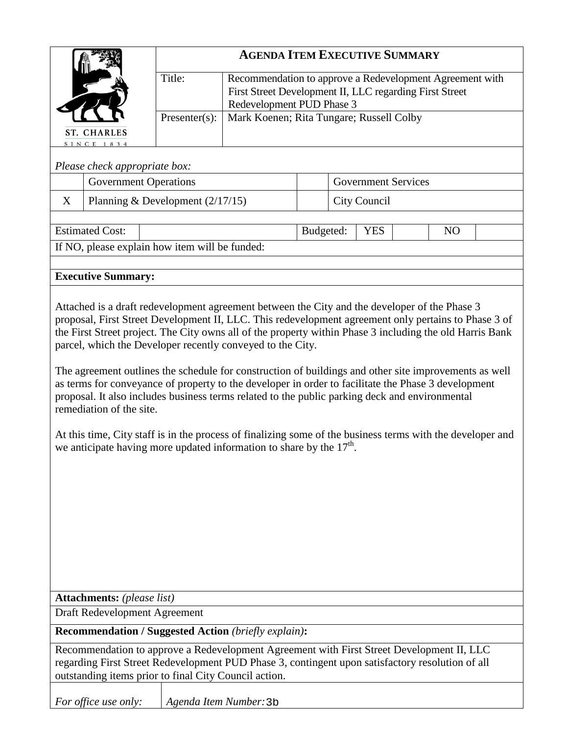|                                                                                                                                                                                                                                                                                                                                                                                                                                                                                                                                                                                                                                                                                                                                                                                                                                                                                                                                 |                                                | <b>AGENDA ITEM EXECUTIVE SUMMARY</b> |                                                                                                                                                  |           |  |                            |                |  |
|---------------------------------------------------------------------------------------------------------------------------------------------------------------------------------------------------------------------------------------------------------------------------------------------------------------------------------------------------------------------------------------------------------------------------------------------------------------------------------------------------------------------------------------------------------------------------------------------------------------------------------------------------------------------------------------------------------------------------------------------------------------------------------------------------------------------------------------------------------------------------------------------------------------------------------|------------------------------------------------|--------------------------------------|--------------------------------------------------------------------------------------------------------------------------------------------------|-----------|--|----------------------------|----------------|--|
|                                                                                                                                                                                                                                                                                                                                                                                                                                                                                                                                                                                                                                                                                                                                                                                                                                                                                                                                 |                                                | Title:                               | Recommendation to approve a Redevelopment Agreement with<br>First Street Development II, LLC regarding First Street<br>Redevelopment PUD Phase 3 |           |  |                            |                |  |
|                                                                                                                                                                                                                                                                                                                                                                                                                                                                                                                                                                                                                                                                                                                                                                                                                                                                                                                                 |                                                | $Presenter(s)$ :                     | Mark Koenen; Rita Tungare; Russell Colby                                                                                                         |           |  |                            |                |  |
|                                                                                                                                                                                                                                                                                                                                                                                                                                                                                                                                                                                                                                                                                                                                                                                                                                                                                                                                 | <b>ST. CHARLES</b><br>SINCE 1834               |                                      |                                                                                                                                                  |           |  |                            |                |  |
|                                                                                                                                                                                                                                                                                                                                                                                                                                                                                                                                                                                                                                                                                                                                                                                                                                                                                                                                 | Please check appropriate box:                  |                                      |                                                                                                                                                  |           |  |                            |                |  |
|                                                                                                                                                                                                                                                                                                                                                                                                                                                                                                                                                                                                                                                                                                                                                                                                                                                                                                                                 | <b>Government Operations</b>                   |                                      |                                                                                                                                                  |           |  | <b>Government Services</b> |                |  |
| X                                                                                                                                                                                                                                                                                                                                                                                                                                                                                                                                                                                                                                                                                                                                                                                                                                                                                                                               | Planning & Development $(2/17/15)$             |                                      |                                                                                                                                                  |           |  | City Council               |                |  |
|                                                                                                                                                                                                                                                                                                                                                                                                                                                                                                                                                                                                                                                                                                                                                                                                                                                                                                                                 | <b>Estimated Cost:</b>                         |                                      |                                                                                                                                                  | Budgeted: |  | <b>YES</b>                 | N <sub>O</sub> |  |
|                                                                                                                                                                                                                                                                                                                                                                                                                                                                                                                                                                                                                                                                                                                                                                                                                                                                                                                                 | If NO, please explain how item will be funded: |                                      |                                                                                                                                                  |           |  |                            |                |  |
|                                                                                                                                                                                                                                                                                                                                                                                                                                                                                                                                                                                                                                                                                                                                                                                                                                                                                                                                 |                                                |                                      |                                                                                                                                                  |           |  |                            |                |  |
|                                                                                                                                                                                                                                                                                                                                                                                                                                                                                                                                                                                                                                                                                                                                                                                                                                                                                                                                 | <b>Executive Summary:</b>                      |                                      |                                                                                                                                                  |           |  |                            |                |  |
| Attached is a draft redevelopment agreement between the City and the developer of the Phase 3<br>proposal, First Street Development II, LLC. This redevelopment agreement only pertains to Phase 3 of<br>the First Street project. The City owns all of the property within Phase 3 including the old Harris Bank<br>parcel, which the Developer recently conveyed to the City.<br>The agreement outlines the schedule for construction of buildings and other site improvements as well<br>as terms for conveyance of property to the developer in order to facilitate the Phase 3 development<br>proposal. It also includes business terms related to the public parking deck and environmental<br>remediation of the site.<br>At this time, City staff is in the process of finalizing some of the business terms with the developer and<br>we anticipate having more updated information to share by the 17 <sup>th</sup> . |                                                |                                      |                                                                                                                                                  |           |  |                            |                |  |
| <b>Attachments:</b> (please list)<br>Draft Redevelopment Agreement                                                                                                                                                                                                                                                                                                                                                                                                                                                                                                                                                                                                                                                                                                                                                                                                                                                              |                                                |                                      |                                                                                                                                                  |           |  |                            |                |  |
|                                                                                                                                                                                                                                                                                                                                                                                                                                                                                                                                                                                                                                                                                                                                                                                                                                                                                                                                 |                                                |                                      | <b>Recommendation / Suggested Action (briefly explain):</b>                                                                                      |           |  |                            |                |  |
| Recommendation to approve a Redevelopment Agreement with First Street Development II, LLC<br>regarding First Street Redevelopment PUD Phase 3, contingent upon satisfactory resolution of all<br>outstanding items prior to final City Council action.                                                                                                                                                                                                                                                                                                                                                                                                                                                                                                                                                                                                                                                                          |                                                |                                      |                                                                                                                                                  |           |  |                            |                |  |
|                                                                                                                                                                                                                                                                                                                                                                                                                                                                                                                                                                                                                                                                                                                                                                                                                                                                                                                                 | For office use only:                           | Agenda Item Number: 3b               |                                                                                                                                                  |           |  |                            |                |  |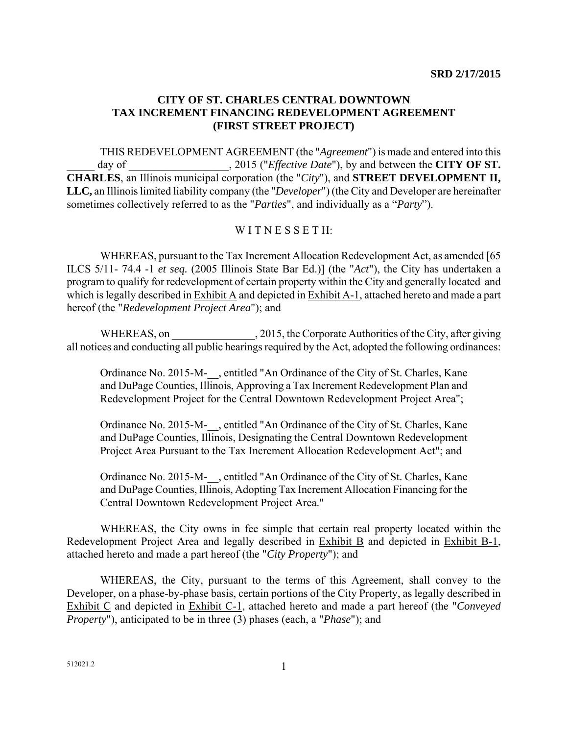## **CITY OF ST. CHARLES CENTRAL DOWNTOWN TAX INCREMENT FINANCING REDEVELOPMENT AGREEMENT (FIRST STREET PROJECT)**

THIS REDEVELOPMENT AGREEMENT (the "*Agreement*") is made and entered into this day of  $\qquad \qquad$ , 2015 ("*Effective Date*"), by and between the **CITY OF ST. CHARLES**, an Illinois municipal corporation (the "*City*"), and **STREET DEVELOPMENT II, LLC,** an Illinois limited liability company (the "*Developer*") (the City and Developer are hereinafter sometimes collectively referred to as the "*Parties*", and individually as a "*Party*").

## WITNESSETH:

WHEREAS, pursuant to the Tax Increment Allocation Redevelopment Act, as amended [65 ILCS 5/11- 74.4 -1 *et seq.* (2005 Illinois State Bar Ed.)] (the "*Act*"), the City has undertaken a program to qualify for redevelopment of certain property within the City and generally located and which is legally described in  $\overline{\text{Exhibit A}}$  and depicted in  $\overline{\text{Exhibit A-1}}$ , attached hereto and made a part hereof (the "*Redevelopment Project Area*"); and

WHEREAS, on \_\_\_\_\_\_\_\_\_\_\_\_\_\_\_\_\_\_\_\_, 2015, the Corporate Authorities of the City, after giving all notices and conducting all public hearings required by the Act, adopted the following ordinances:

Ordinance No. 2015-M-\_\_, entitled "An Ordinance of the City of St. Charles, Kane and DuPage Counties, Illinois, Approving a Tax Increment Redevelopment Plan and Redevelopment Project for the Central Downtown Redevelopment Project Area";

Ordinance No. 2015-M-\_\_, entitled "An Ordinance of the City of St. Charles, Kane and DuPage Counties, Illinois, Designating the Central Downtown Redevelopment Project Area Pursuant to the Tax Increment Allocation Redevelopment Act"; and

Ordinance No. 2015-M-\_\_, entitled "An Ordinance of the City of St. Charles, Kane and DuPage Counties, Illinois, Adopting Tax Increment Allocation Financing for the Central Downtown Redevelopment Project Area."

WHEREAS, the City owns in fee simple that certain real property located within the Redevelopment Project Area and legally described in Exhibit B and depicted in Exhibit B-1, attached hereto and made a part hereof (the "*City Property*"); and

 WHEREAS, the City, pursuant to the terms of this Agreement, shall convey to the Developer, on a phase-by-phase basis, certain portions of the City Property, as legally described in Exhibit C and depicted in Exhibit C-1, attached hereto and made a part hereof (the "*Conveyed Property*"), anticipated to be in three (3) phases (each, a "*Phase*"); and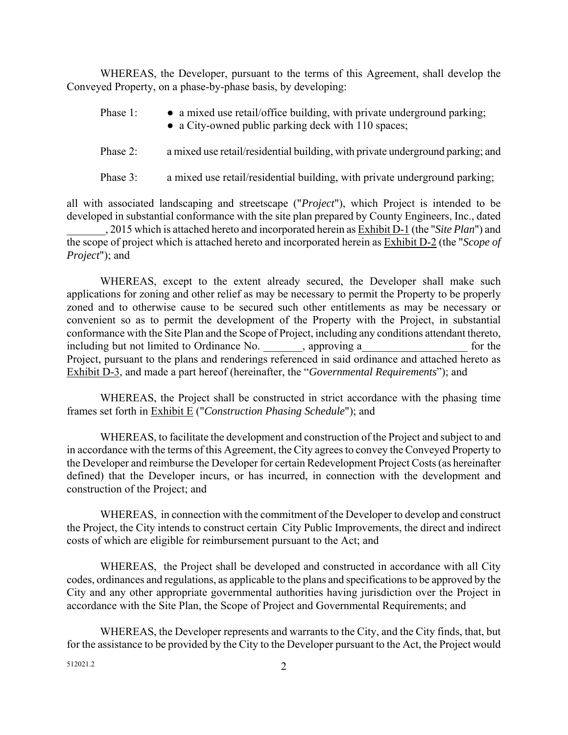WHEREAS, the Developer, pursuant to the terms of this Agreement, shall develop the Conveyed Property, on a phase-by-phase basis, by developing:

- Phase 1: a mixed use retail/office building, with private underground parking;
	- a City-owned public parking deck with 110 spaces;
- Phase 2: a mixed use retail/residential building, with private underground parking; and
- Phase 3: a mixed use retail/residential building, with private underground parking;

all with associated landscaping and streetscape ("*Project*"), which Project is intended to be developed in substantial conformance with the site plan prepared by County Engineers, Inc., dated

\_\_\_\_\_\_\_, 2015 which is attached hereto and incorporated herein as Exhibit D-1 (the "*Site Plan*") and the scope of project which is attached hereto and incorporated herein as Exhibit D-2 (the "*Scope of Project*"); and

WHEREAS, except to the extent already secured, the Developer shall make such applications for zoning and other relief as may be necessary to permit the Property to be properly zoned and to otherwise cause to be secured such other entitlements as may be necessary or convenient so as to permit the development of the Property with the Project, in substantial conformance with the Site Plan and the Scope of Project, including any conditions attendant thereto, including but not limited to Ordinance No. \_\_\_\_\_\_\_, approving a\_\_\_\_\_\_\_\_\_\_\_\_\_\_\_\_\_\_\_ for the Project, pursuant to the plans and renderings referenced in said ordinance and attached hereto as Exhibit D-3, and made a part hereof (hereinafter, the "*Governmental Requirements*"); and

WHEREAS, the Project shall be constructed in strict accordance with the phasing time frames set forth in Exhibit E ("*Construction Phasing Schedule*"); and

WHEREAS, to facilitate the development and construction of the Project and subject to and in accordance with the terms of this Agreement, the City agrees to convey the Conveyed Property to the Developer and reimburse the Developer for certain Redevelopment Project Costs (as hereinafter defined) that the Developer incurs, or has incurred, in connection with the development and construction of the Project; and

WHEREAS, in connection with the commitment of the Developer to develop and construct the Project, the City intends to construct certain City Public Improvements, the direct and indirect costs of which are eligible for reimbursement pursuant to the Act; and

WHEREAS, the Project shall be developed and constructed in accordance with all City codes, ordinances and regulations, as applicable to the plans and specifications to be approved by the City and any other appropriate governmental authorities having jurisdiction over the Project in accordance with the Site Plan, the Scope of Project and Governmental Requirements; and

WHEREAS, the Developer represents and warrants to the City, and the City finds, that, but for the assistance to be provided by the City to the Developer pursuant to the Act, the Project would

 $512021.2$  2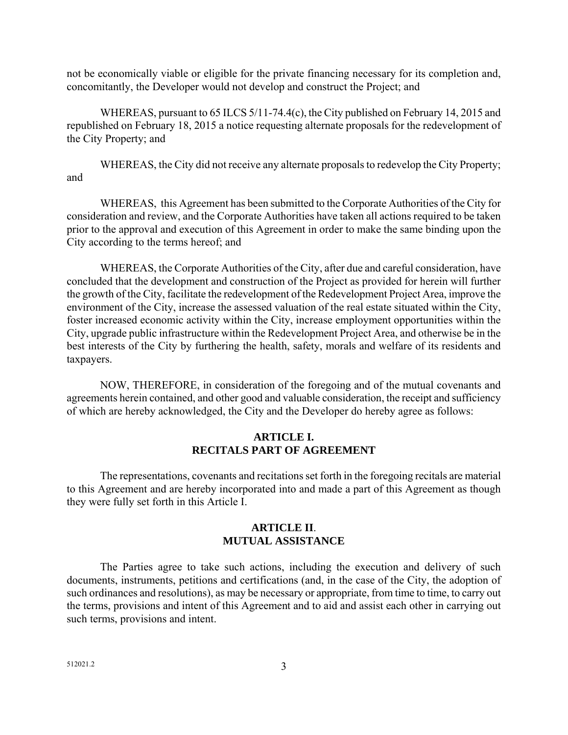not be economically viable or eligible for the private financing necessary for its completion and, concomitantly, the Developer would not develop and construct the Project; and

WHEREAS, pursuant to 65 ILCS 5/11-74.4(c), the City published on February 14, 2015 and republished on February 18, 2015 a notice requesting alternate proposals for the redevelopment of the City Property; and

WHEREAS, the City did not receive any alternate proposals to redevelop the City Property; and

WHEREAS, this Agreement has been submitted to the Corporate Authorities of the City for consideration and review, and the Corporate Authorities have taken all actions required to be taken prior to the approval and execution of this Agreement in order to make the same binding upon the City according to the terms hereof; and

WHEREAS, the Corporate Authorities of the City, after due and careful consideration, have concluded that the development and construction of the Project as provided for herein will further the growth of the City, facilitate the redevelopment of the Redevelopment Project Area, improve the environment of the City, increase the assessed valuation of the real estate situated within the City, foster increased economic activity within the City, increase employment opportunities within the City, upgrade public infrastructure within the Redevelopment Project Area, and otherwise be in the best interests of the City by furthering the health, safety, morals and welfare of its residents and taxpayers.

NOW, THEREFORE, in consideration of the foregoing and of the mutual covenants and agreements herein contained, and other good and valuable consideration, the receipt and sufficiency of which are hereby acknowledged, the City and the Developer do hereby agree as follows:

#### **ARTICLE I. RECITALS PART OF AGREEMENT**

The representations, covenants and recitations set forth in the foregoing recitals are material to this Agreement and are hereby incorporated into and made a part of this Agreement as though they were fully set forth in this Article I.

#### **ARTICLE II**. **MUTUAL ASSISTANCE**

The Parties agree to take such actions, including the execution and delivery of such documents, instruments, petitions and certifications (and, in the case of the City, the adoption of such ordinances and resolutions), as may be necessary or appropriate, from time to time, to carry out the terms, provisions and intent of this Agreement and to aid and assist each other in carrying out such terms, provisions and intent.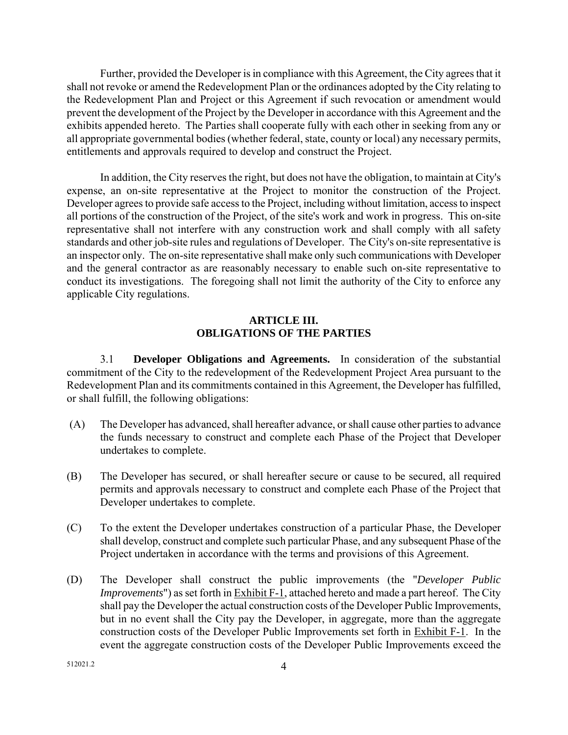Further, provided the Developer is in compliance with this Agreement, the City agrees that it shall not revoke or amend the Redevelopment Plan or the ordinances adopted by the City relating to the Redevelopment Plan and Project or this Agreement if such revocation or amendment would prevent the development of the Project by the Developer in accordance with this Agreement and the exhibits appended hereto. The Parties shall cooperate fully with each other in seeking from any or all appropriate governmental bodies (whether federal, state, county or local) any necessary permits, entitlements and approvals required to develop and construct the Project.

In addition, the City reserves the right, but does not have the obligation, to maintain at City's expense, an on-site representative at the Project to monitor the construction of the Project. Developer agrees to provide safe access to the Project, including without limitation, access to inspect all portions of the construction of the Project, of the site's work and work in progress. This on-site representative shall not interfere with any construction work and shall comply with all safety standards and other job-site rules and regulations of Developer. The City's on-site representative is an inspector only. The on-site representative shall make only such communications with Developer and the general contractor as are reasonably necessary to enable such on-site representative to conduct its investigations. The foregoing shall not limit the authority of the City to enforce any applicable City regulations.

#### **ARTICLE III. OBLIGATIONS OF THE PARTIES**

3.1 **Developer Obligations and Agreements.** In consideration of the substantial commitment of the City to the redevelopment of the Redevelopment Project Area pursuant to the Redevelopment Plan and its commitments contained in this Agreement, the Developer has fulfilled, or shall fulfill, the following obligations:

- (A) The Developer has advanced, shall hereafter advance, or shall cause other parties to advance the funds necessary to construct and complete each Phase of the Project that Developer undertakes to complete.
- (B) The Developer has secured, or shall hereafter secure or cause to be secured, all required permits and approvals necessary to construct and complete each Phase of the Project that Developer undertakes to complete.
- (C) To the extent the Developer undertakes construction of a particular Phase, the Developer shall develop, construct and complete such particular Phase, and any subsequent Phase of the Project undertaken in accordance with the terms and provisions of this Agreement.
- (D) The Developer shall construct the public improvements (the "*Developer Public Improvements*") as set forth in Exhibit F-1, attached hereto and made a part hereof. The City shall pay the Developer the actual construction costs of the Developer Public Improvements, but in no event shall the City pay the Developer, in aggregate, more than the aggregate construction costs of the Developer Public Improvements set forth in Exhibit F-1. In the event the aggregate construction costs of the Developer Public Improvements exceed the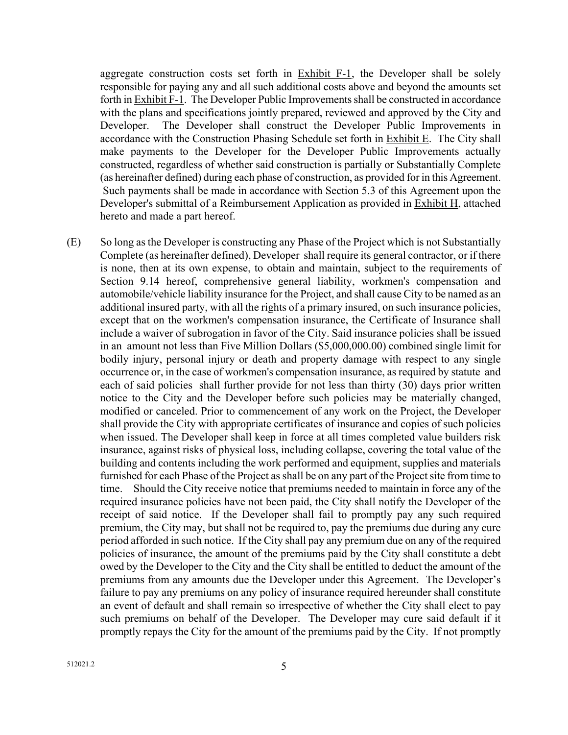aggregate construction costs set forth in  $Exhibit F-1$ , the Developer shall be solely responsible for paying any and all such additional costs above and beyond the amounts set forth in Exhibit F-1. The Developer Public Improvements shall be constructed in accordance with the plans and specifications jointly prepared, reviewed and approved by the City and Developer. The Developer shall construct the Developer Public Improvements in accordance with the Construction Phasing Schedule set forth in Exhibit E. The City shall make payments to the Developer for the Developer Public Improvements actually constructed, regardless of whether said construction is partially or Substantially Complete (as hereinafter defined) during each phase of construction, as provided for in this Agreement. Such payments shall be made in accordance with Section 5.3 of this Agreement upon the Developer's submittal of a Reimbursement Application as provided in Exhibit H, attached hereto and made a part hereof.

(E) So long as the Developer is constructing any Phase of the Project which is not Substantially Complete (as hereinafter defined), Developer shall require its general contractor, or if there is none, then at its own expense, to obtain and maintain, subject to the requirements of Section 9.14 hereof, comprehensive general liability, workmen's compensation and automobile/vehicle liability insurance for the Project, and shall cause City to be named as an additional insured party, with all the rights of a primary insured, on such insurance policies, except that on the workmen's compensation insurance, the Certificate of Insurance shall include a waiver of subrogation in favor of the City. Said insurance policies shall be issued in an amount not less than Five Million Dollars (\$5,000,000.00) combined single limit for bodily injury, personal injury or death and property damage with respect to any single occurrence or, in the case of workmen's compensation insurance, as required by statute and each of said policies shall further provide for not less than thirty (30) days prior written notice to the City and the Developer before such policies may be materially changed, modified or canceled. Prior to commencement of any work on the Project, the Developer shall provide the City with appropriate certificates of insurance and copies of such policies when issued. The Developer shall keep in force at all times completed value builders risk insurance, against risks of physical loss, including collapse, covering the total value of the building and contents including the work performed and equipment, supplies and materials furnished for each Phase of the Project as shall be on any part of the Project site from time to time. Should the City receive notice that premiums needed to maintain in force any of the required insurance policies have not been paid, the City shall notify the Developer of the receipt of said notice. If the Developer shall fail to promptly pay any such required premium, the City may, but shall not be required to, pay the premiums due during any cure period afforded in such notice. If the City shall pay any premium due on any of the required policies of insurance, the amount of the premiums paid by the City shall constitute a debt owed by the Developer to the City and the City shall be entitled to deduct the amount of the premiums from any amounts due the Developer under this Agreement. The Developer's failure to pay any premiums on any policy of insurance required hereunder shall constitute an event of default and shall remain so irrespective of whether the City shall elect to pay such premiums on behalf of the Developer. The Developer may cure said default if it promptly repays the City for the amount of the premiums paid by the City. If not promptly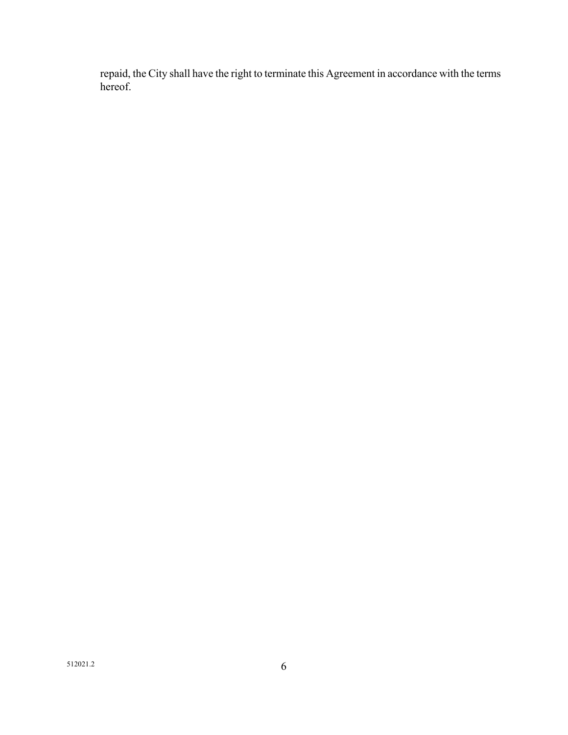repaid, the City shall have the right to terminate this Agreement in accordance with the terms hereof.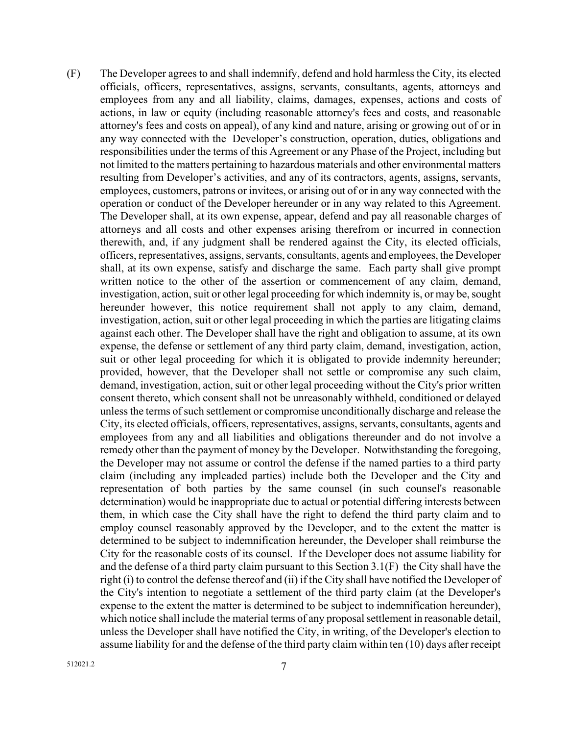(F) The Developer agrees to and shall indemnify, defend and hold harmless the City, its elected officials, officers, representatives, assigns, servants, consultants, agents, attorneys and employees from any and all liability, claims, damages, expenses, actions and costs of actions, in law or equity (including reasonable attorney's fees and costs, and reasonable attorney's fees and costs on appeal), of any kind and nature, arising or growing out of or in any way connected with the Developer's construction, operation, duties, obligations and responsibilities under the terms of this Agreement or any Phase of the Project, including but not limited to the matters pertaining to hazardous materials and other environmental matters resulting from Developer's activities, and any of its contractors, agents, assigns, servants, employees, customers, patrons or invitees, or arising out of or in any way connected with the operation or conduct of the Developer hereunder or in any way related to this Agreement. The Developer shall, at its own expense, appear, defend and pay all reasonable charges of attorneys and all costs and other expenses arising therefrom or incurred in connection therewith, and, if any judgment shall be rendered against the City, its elected officials, officers, representatives, assigns, servants, consultants, agents and employees, the Developer shall, at its own expense, satisfy and discharge the same. Each party shall give prompt written notice to the other of the assertion or commencement of any claim, demand, investigation, action, suit or other legal proceeding for which indemnity is, or may be, sought hereunder however, this notice requirement shall not apply to any claim, demand, investigation, action, suit or other legal proceeding in which the parties are litigating claims against each other. The Developer shall have the right and obligation to assume, at its own expense, the defense or settlement of any third party claim, demand, investigation, action, suit or other legal proceeding for which it is obligated to provide indemnity hereunder; provided, however, that the Developer shall not settle or compromise any such claim, demand, investigation, action, suit or other legal proceeding without the City's prior written consent thereto, which consent shall not be unreasonably withheld, conditioned or delayed unless the terms of such settlement or compromise unconditionally discharge and release the City, its elected officials, officers, representatives, assigns, servants, consultants, agents and employees from any and all liabilities and obligations thereunder and do not involve a remedy other than the payment of money by the Developer. Notwithstanding the foregoing, the Developer may not assume or control the defense if the named parties to a third party claim (including any impleaded parties) include both the Developer and the City and representation of both parties by the same counsel (in such counsel's reasonable determination) would be inappropriate due to actual or potential differing interests between them, in which case the City shall have the right to defend the third party claim and to employ counsel reasonably approved by the Developer, and to the extent the matter is determined to be subject to indemnification hereunder, the Developer shall reimburse the City for the reasonable costs of its counsel. If the Developer does not assume liability for and the defense of a third party claim pursuant to this Section 3.1(F) the City shall have the right (i) to control the defense thereof and (ii) if the City shall have notified the Developer of the City's intention to negotiate a settlement of the third party claim (at the Developer's expense to the extent the matter is determined to be subject to indemnification hereunder), which notice shall include the material terms of any proposal settlement in reasonable detail, unless the Developer shall have notified the City, in writing, of the Developer's election to assume liability for and the defense of the third party claim within ten (10) days after receipt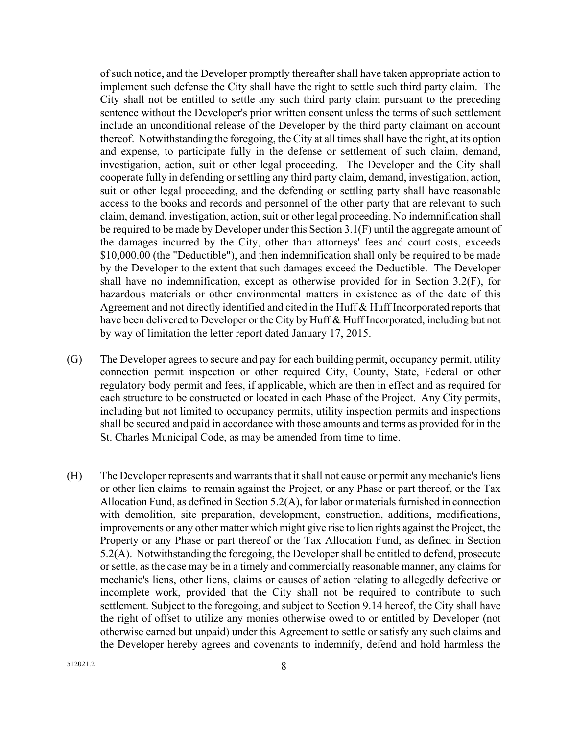of such notice, and the Developer promptly thereafter shall have taken appropriate action to implement such defense the City shall have the right to settle such third party claim. The City shall not be entitled to settle any such third party claim pursuant to the preceding sentence without the Developer's prior written consent unless the terms of such settlement include an unconditional release of the Developer by the third party claimant on account thereof. Notwithstanding the foregoing, the City at all times shall have the right, at its option and expense, to participate fully in the defense or settlement of such claim, demand, investigation, action, suit or other legal proceeding. The Developer and the City shall cooperate fully in defending or settling any third party claim, demand, investigation, action, suit or other legal proceeding, and the defending or settling party shall have reasonable access to the books and records and personnel of the other party that are relevant to such claim, demand, investigation, action, suit or other legal proceeding. No indemnification shall be required to be made by Developer under this Section 3.1(F) until the aggregate amount of the damages incurred by the City, other than attorneys' fees and court costs, exceeds \$10,000.00 (the "Deductible"), and then indemnification shall only be required to be made by the Developer to the extent that such damages exceed the Deductible. The Developer shall have no indemnification, except as otherwise provided for in Section 3.2(F), for hazardous materials or other environmental matters in existence as of the date of this Agreement and not directly identified and cited in the Huff & Huff Incorporated reports that have been delivered to Developer or the City by Huff & Huff Incorporated, including but not by way of limitation the letter report dated January 17, 2015.

- (G) The Developer agrees to secure and pay for each building permit, occupancy permit, utility connection permit inspection or other required City, County, State, Federal or other regulatory body permit and fees, if applicable, which are then in effect and as required for each structure to be constructed or located in each Phase of the Project. Any City permits, including but not limited to occupancy permits, utility inspection permits and inspections shall be secured and paid in accordance with those amounts and terms as provided for in the St. Charles Municipal Code, as may be amended from time to time.
- (H) The Developer represents and warrants that it shall not cause or permit any mechanic's liens or other lien claims to remain against the Project, or any Phase or part thereof, or the Tax Allocation Fund, as defined in Section 5.2(A), for labor or materials furnished in connection with demolition, site preparation, development, construction, additions, modifications, improvements or any other matter which might give rise to lien rights against the Project, the Property or any Phase or part thereof or the Tax Allocation Fund, as defined in Section 5.2(A). Notwithstanding the foregoing, the Developer shall be entitled to defend, prosecute or settle, as the case may be in a timely and commercially reasonable manner, any claims for mechanic's liens, other liens, claims or causes of action relating to allegedly defective or incomplete work, provided that the City shall not be required to contribute to such settlement. Subject to the foregoing, and subject to Section 9.14 hereof, the City shall have the right of offset to utilize any monies otherwise owed to or entitled by Developer (not otherwise earned but unpaid) under this Agreement to settle or satisfy any such claims and the Developer hereby agrees and covenants to indemnify, defend and hold harmless the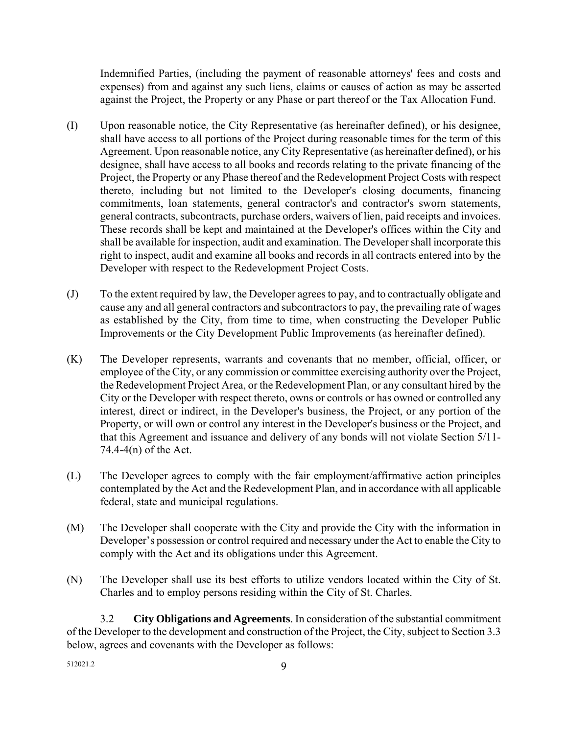Indemnified Parties, (including the payment of reasonable attorneys' fees and costs and expenses) from and against any such liens, claims or causes of action as may be asserted against the Project, the Property or any Phase or part thereof or the Tax Allocation Fund.

- (I) Upon reasonable notice, the City Representative (as hereinafter defined), or his designee, shall have access to all portions of the Project during reasonable times for the term of this Agreement. Upon reasonable notice, any City Representative (as hereinafter defined), or his designee, shall have access to all books and records relating to the private financing of the Project, the Property or any Phase thereof and the Redevelopment Project Costs with respect thereto, including but not limited to the Developer's closing documents, financing commitments, loan statements, general contractor's and contractor's sworn statements, general contracts, subcontracts, purchase orders, waivers of lien, paid receipts and invoices. These records shall be kept and maintained at the Developer's offices within the City and shall be available for inspection, audit and examination. The Developer shall incorporate this right to inspect, audit and examine all books and records in all contracts entered into by the Developer with respect to the Redevelopment Project Costs.
- (J) To the extent required by law, the Developer agrees to pay, and to contractually obligate and cause any and all general contractors and subcontractors to pay, the prevailing rate of wages as established by the City, from time to time, when constructing the Developer Public Improvements or the City Development Public Improvements (as hereinafter defined).
- (K) The Developer represents, warrants and covenants that no member, official, officer, or employee of the City, or any commission or committee exercising authority over the Project, the Redevelopment Project Area, or the Redevelopment Plan, or any consultant hired by the City or the Developer with respect thereto, owns or controls or has owned or controlled any interest, direct or indirect, in the Developer's business, the Project, or any portion of the Property, or will own or control any interest in the Developer's business or the Project, and that this Agreement and issuance and delivery of any bonds will not violate Section 5/11- 74.4-4(n) of the Act.
- (L) The Developer agrees to comply with the fair employment/affirmative action principles contemplated by the Act and the Redevelopment Plan, and in accordance with all applicable federal, state and municipal regulations.
- (M) The Developer shall cooperate with the City and provide the City with the information in Developer's possession or control required and necessary under the Act to enable the City to comply with the Act and its obligations under this Agreement.
- (N) The Developer shall use its best efforts to utilize vendors located within the City of St. Charles and to employ persons residing within the City of St. Charles.

3.2 **City Obligations and Agreements**. In consideration of the substantial commitment of the Developer to the development and construction of the Project, the City, subject to Section 3.3 below, agrees and covenants with the Developer as follows: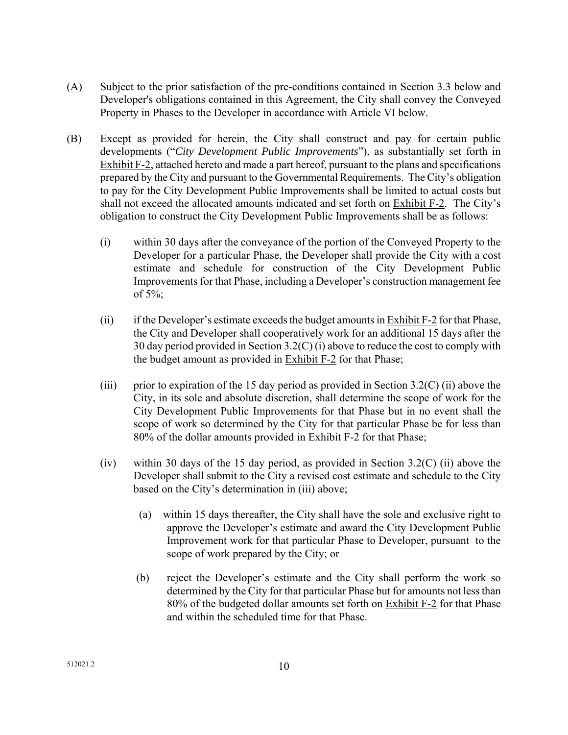- (A) Subject to the prior satisfaction of the pre-conditions contained in Section 3.3 below and Developer's obligations contained in this Agreement, the City shall convey the Conveyed Property in Phases to the Developer in accordance with Article VI below.
- (B) Except as provided for herein, the City shall construct and pay for certain public developments ("*City Development Public Improvements*"), as substantially set forth in Exhibit F-2, attached hereto and made a part hereof, pursuant to the plans and specifications prepared by the City and pursuant to the Governmental Requirements. The City's obligation to pay for the City Development Public Improvements shall be limited to actual costs but shall not exceed the allocated amounts indicated and set forth on Exhibit F-2. The City's obligation to construct the City Development Public Improvements shall be as follows:
	- (i) within 30 days after the conveyance of the portion of the Conveyed Property to the Developer for a particular Phase, the Developer shall provide the City with a cost estimate and schedule for construction of the City Development Public Improvements for that Phase, including a Developer's construction management fee of  $5\%$ ;
	- (ii) if the Developer's estimate exceeds the budget amounts in Exhibit F-2 for that Phase, the City and Developer shall cooperatively work for an additional 15 days after the 30 day period provided in Section 3.2(C) (i) above to reduce the cost to comply with the budget amount as provided in Exhibit F-2 for that Phase;
	- (iii) prior to expiration of the 15 day period as provided in Section 3.2(C) (ii) above the City, in its sole and absolute discretion, shall determine the scope of work for the City Development Public Improvements for that Phase but in no event shall the scope of work so determined by the City for that particular Phase be for less than 80% of the dollar amounts provided in Exhibit F-2 for that Phase;
	- (iv) within 30 days of the 15 day period, as provided in Section 3.2(C) (ii) above the Developer shall submit to the City a revised cost estimate and schedule to the City based on the City's determination in (iii) above;
		- (a) within 15 days thereafter, the City shall have the sole and exclusive right to approve the Developer's estimate and award the City Development Public Improvement work for that particular Phase to Developer, pursuant to the scope of work prepared by the City; or
		- (b) reject the Developer's estimate and the City shall perform the work so determined by the City for that particular Phase but for amounts not less than 80% of the budgeted dollar amounts set forth on Exhibit F-2 for that Phase and within the scheduled time for that Phase.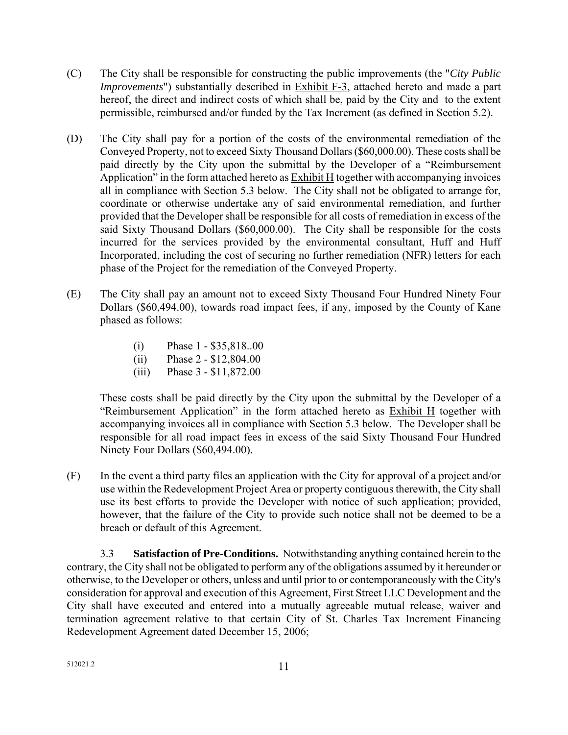- (C) The City shall be responsible for constructing the public improvements (the "*City Public Improvements*") substantially described in Exhibit F-3, attached hereto and made a part hereof, the direct and indirect costs of which shall be, paid by the City and to the extent permissible, reimbursed and/or funded by the Tax Increment (as defined in Section 5.2).
- (D) The City shall pay for a portion of the costs of the environmental remediation of the Conveyed Property, not to exceed Sixty Thousand Dollars (\$60,000.00). These costs shall be paid directly by the City upon the submittal by the Developer of a "Reimbursement Application" in the form attached hereto as Exhibit H together with accompanying invoices all in compliance with Section 5.3 below. The City shall not be obligated to arrange for, coordinate or otherwise undertake any of said environmental remediation, and further provided that the Developer shall be responsible for all costs of remediation in excess of the said Sixty Thousand Dollars (\$60,000.00). The City shall be responsible for the costs incurred for the services provided by the environmental consultant, Huff and Huff Incorporated, including the cost of securing no further remediation (NFR) letters for each phase of the Project for the remediation of the Conveyed Property.
- (E) The City shall pay an amount not to exceed Sixty Thousand Four Hundred Ninety Four Dollars (\$60,494.00), towards road impact fees, if any, imposed by the County of Kane phased as follows:
	- (i) Phase 1 \$35,818..00
	- (ii) Phase 2 \$12,804.00
	- (iii) Phase 3 \$11,872.00

 These costs shall be paid directly by the City upon the submittal by the Developer of a "Reimbursement Application" in the form attached hereto as Exhibit H together with accompanying invoices all in compliance with Section 5.3 below. The Developer shall be responsible for all road impact fees in excess of the said Sixty Thousand Four Hundred Ninety Four Dollars (\$60,494.00).

(F) In the event a third party files an application with the City for approval of a project and/or use within the Redevelopment Project Area or property contiguous therewith, the City shall use its best efforts to provide the Developer with notice of such application; provided, however, that the failure of the City to provide such notice shall not be deemed to be a breach or default of this Agreement.

 3.3 **Satisfaction of Pre-Conditions.** Notwithstanding anything contained herein to the contrary, the City shall not be obligated to perform any of the obligations assumed by it hereunder or otherwise, to the Developer or others, unless and until prior to or contemporaneously with the City's consideration for approval and execution of this Agreement, First Street LLC Development and the City shall have executed and entered into a mutually agreeable mutual release, waiver and termination agreement relative to that certain City of St. Charles Tax Increment Financing Redevelopment Agreement dated December 15, 2006;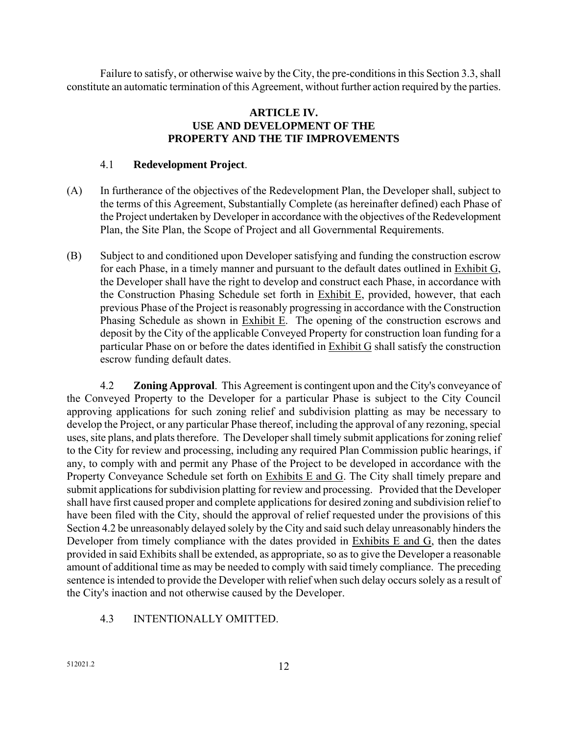Failure to satisfy, or otherwise waive by the City, the pre-conditions in this Section 3.3, shall constitute an automatic termination of this Agreement, without further action required by the parties.

# **ARTICLE IV. USE AND DEVELOPMENT OF THE PROPERTY AND THE TIF IMPROVEMENTS**

### 4.1 **Redevelopment Project**.

- (A) In furtherance of the objectives of the Redevelopment Plan, the Developer shall, subject to the terms of this Agreement, Substantially Complete (as hereinafter defined) each Phase of the Project undertaken by Developer in accordance with the objectives of the Redevelopment Plan, the Site Plan, the Scope of Project and all Governmental Requirements.
- (B) Subject to and conditioned upon Developer satisfying and funding the construction escrow for each Phase, in a timely manner and pursuant to the default dates outlined in Exhibit G, the Developer shall have the right to develop and construct each Phase, in accordance with the Construction Phasing Schedule set forth in Exhibit E, provided, however, that each previous Phase of the Project is reasonably progressing in accordance with the Construction Phasing Schedule as shown in Exhibit E. The opening of the construction escrows and deposit by the City of the applicable Conveyed Property for construction loan funding for a particular Phase on or before the dates identified in Exhibit G shall satisfy the construction escrow funding default dates.

 4.2 **Zoning Approval**. This Agreement is contingent upon and the City's conveyance of the Conveyed Property to the Developer for a particular Phase is subject to the City Council approving applications for such zoning relief and subdivision platting as may be necessary to develop the Project, or any particular Phase thereof, including the approval of any rezoning, special uses, site plans, and plats therefore. The Developer shall timely submit applications for zoning relief to the City for review and processing, including any required Plan Commission public hearings, if any, to comply with and permit any Phase of the Project to be developed in accordance with the Property Conveyance Schedule set forth on Exhibits E and G. The City shall timely prepare and submit applications for subdivision platting for review and processing. Provided that the Developer shall have first caused proper and complete applications for desired zoning and subdivision relief to have been filed with the City, should the approval of relief requested under the provisions of this Section 4.2 be unreasonably delayed solely by the City and said such delay unreasonably hinders the Developer from timely compliance with the dates provided in Exhibits E and G, then the dates provided in said Exhibits shall be extended, as appropriate, so as to give the Developer a reasonable amount of additional time as may be needed to comply with said timely compliance. The preceding sentence is intended to provide the Developer with relief when such delay occurs solely as a result of the City's inaction and not otherwise caused by the Developer.

# 4.3 INTENTIONALLY OMITTED.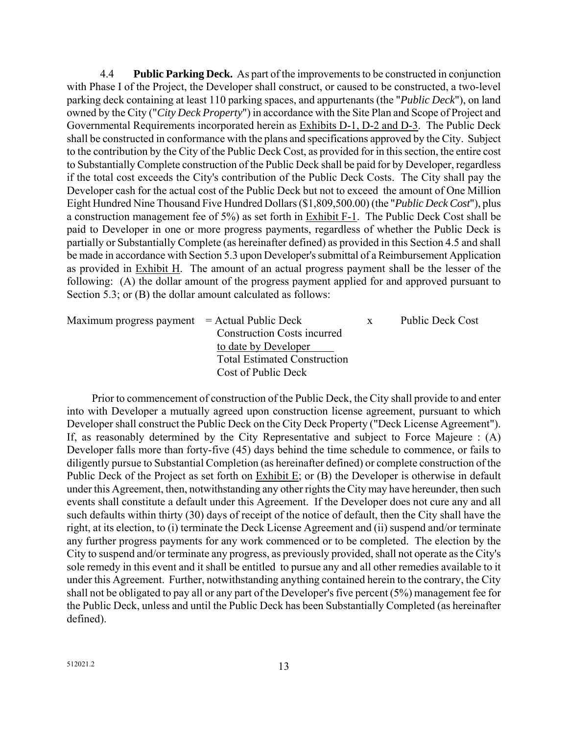4.4 **Public Parking Deck.** As part of the improvements to be constructed in conjunction with Phase I of the Project, the Developer shall construct, or caused to be constructed, a two-level parking deck containing at least 110 parking spaces, and appurtenants (the "*Public Deck*"), on land owned by the City ("*City Deck Property*") in accordance with the Site Plan and Scope of Project and Governmental Requirements incorporated herein as Exhibits D-1, D-2 and D-3. The Public Deck shall be constructed in conformance with the plans and specifications approved by the City. Subject to the contribution by the City of the Public Deck Cost, as provided for in this section, the entire cost to Substantially Complete construction of the Public Deck shall be paid for by Developer, regardless if the total cost exceeds the City's contribution of the Public Deck Costs. The City shall pay the Developer cash for the actual cost of the Public Deck but not to exceed the amount of One Million Eight Hundred Nine Thousand Five Hundred Dollars (\$1,809,500.00) (the "*Public Deck Cost*"), plus a construction management fee of 5%) as set forth in Exhibit F-1. The Public Deck Cost shall be paid to Developer in one or more progress payments, regardless of whether the Public Deck is partially or Substantially Complete (as hereinafter defined) as provided in this Section 4.5 and shall be made in accordance with Section 5.3 upon Developer's submittal of a Reimbursement Application as provided in Exhibit H. The amount of an actual progress payment shall be the lesser of the following: (A) the dollar amount of the progress payment applied for and approved pursuant to Section 5.3; or (B) the dollar amount calculated as follows:

| $Maximum$ progress payment $=$ Actual Public Deck |                                     | X | <b>Public Deck Cost</b> |
|---------------------------------------------------|-------------------------------------|---|-------------------------|
|                                                   | <b>Construction Costs incurred</b>  |   |                         |
|                                                   | to date by Developer                |   |                         |
|                                                   | <b>Total Estimated Construction</b> |   |                         |
|                                                   | Cost of Public Deck                 |   |                         |

Prior to commencement of construction of the Public Deck, the City shall provide to and enter into with Developer a mutually agreed upon construction license agreement, pursuant to which Developer shall construct the Public Deck on the City Deck Property ("Deck License Agreement"). If, as reasonably determined by the City Representative and subject to Force Majeure : (A) Developer falls more than forty-five (45) days behind the time schedule to commence, or fails to diligently pursue to Substantial Completion (as hereinafter defined) or complete construction of the Public Deck of the Project as set forth on Exhibit E; or (B) the Developer is otherwise in default under this Agreement, then, notwithstanding any other rights the City may have hereunder, then such events shall constitute a default under this Agreement. If the Developer does not cure any and all such defaults within thirty (30) days of receipt of the notice of default, then the City shall have the right, at its election, to (i) terminate the Deck License Agreement and (ii) suspend and/or terminate any further progress payments for any work commenced or to be completed. The election by the City to suspend and/or terminate any progress, as previously provided, shall not operate as the City's sole remedy in this event and it shall be entitled to pursue any and all other remedies available to it under this Agreement. Further, notwithstanding anything contained herein to the contrary, the City shall not be obligated to pay all or any part of the Developer's five percent (5%) management fee for the Public Deck, unless and until the Public Deck has been Substantially Completed (as hereinafter defined).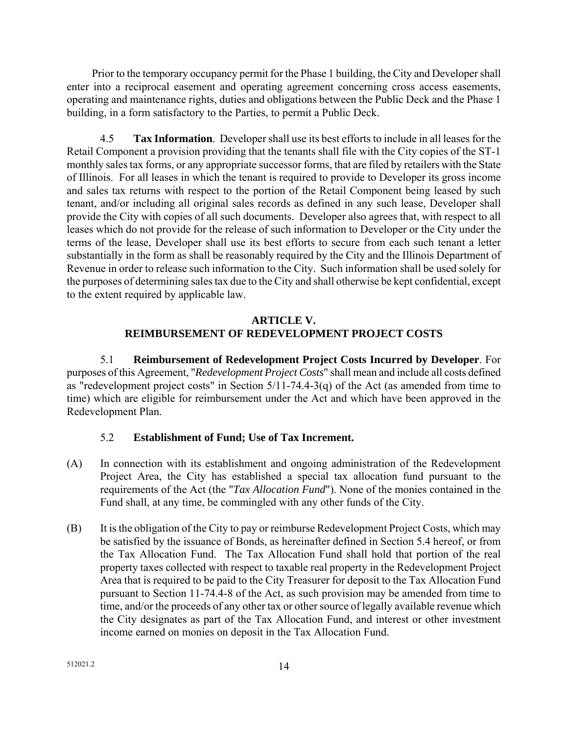Prior to the temporary occupancy permit for the Phase 1 building, the City and Developer shall enter into a reciprocal easement and operating agreement concerning cross access easements, operating and maintenance rights, duties and obligations between the Public Deck and the Phase 1 building, in a form satisfactory to the Parties, to permit a Public Deck.

4.5 **Tax Information**. Developer shall use its best efforts to include in all leases for the Retail Component a provision providing that the tenants shall file with the City copies of the ST-1 monthly sales tax forms, or any appropriate successor forms, that are filed by retailers with the State of Illinois. For all leases in which the tenant is required to provide to Developer its gross income and sales tax returns with respect to the portion of the Retail Component being leased by such tenant, and/or including all original sales records as defined in any such lease, Developer shall provide the City with copies of all such documents. Developer also agrees that, with respect to all leases which do not provide for the release of such information to Developer or the City under the terms of the lease, Developer shall use its best efforts to secure from each such tenant a letter substantially in the form as shall be reasonably required by the City and the Illinois Department of Revenue in order to release such information to the City. Such information shall be used solely for the purposes of determining sales tax due to the City and shall otherwise be kept confidential, except to the extent required by applicable law.

#### **ARTICLE V. REIMBURSEMENT OF REDEVELOPMENT PROJECT COSTS**

5.1 **Reimbursement of Redevelopment Project Costs Incurred by Developer**. For purposes of this Agreement, "*Redevelopment Project Costs*" shall mean and include all costs defined as "redevelopment project costs" in Section 5/11-74.4-3(q) of the Act (as amended from time to time) which are eligible for reimbursement under the Act and which have been approved in the Redevelopment Plan.

# 5.2 **Establishment of Fund; Use of Tax Increment.**

- (A) In connection with its establishment and ongoing administration of the Redevelopment Project Area, the City has established a special tax allocation fund pursuant to the requirements of the Act (the "*Tax Allocation Fund*"). None of the monies contained in the Fund shall, at any time, be commingled with any other funds of the City.
- (B) It is the obligation of the City to pay or reimburse Redevelopment Project Costs, which may be satisfied by the issuance of Bonds, as hereinafter defined in Section 5.4 hereof, or from the Tax Allocation Fund. The Tax Allocation Fund shall hold that portion of the real property taxes collected with respect to taxable real property in the Redevelopment Project Area that is required to be paid to the City Treasurer for deposit to the Tax Allocation Fund pursuant to Section 11-74.4-8 of the Act, as such provision may be amended from time to time, and/or the proceeds of any other tax or other source of legally available revenue which the City designates as part of the Tax Allocation Fund, and interest or other investment income earned on monies on deposit in the Tax Allocation Fund.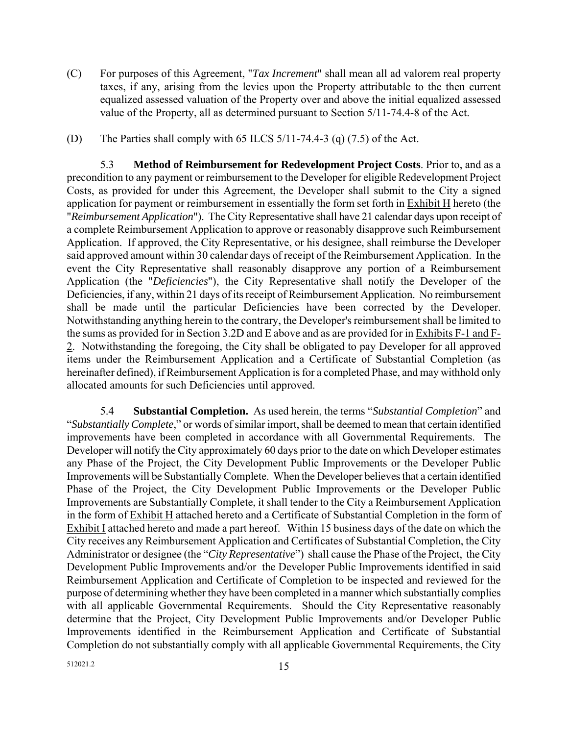- (C) For purposes of this Agreement, "*Tax Increment*" shall mean all ad valorem real property taxes, if any, arising from the levies upon the Property attributable to the then current equalized assessed valuation of the Property over and above the initial equalized assessed value of the Property, all as determined pursuant to Section 5/11-74.4-8 of the Act.
- (D) The Parties shall comply with 65 ILCS  $5/11-74.4-3$  (q)  $(7.5)$  of the Act.

5.3 **Method of Reimbursement for Redevelopment Project Costs**. Prior to, and as a precondition to any payment or reimbursement to the Developer for eligible Redevelopment Project Costs, as provided for under this Agreement, the Developer shall submit to the City a signed application for payment or reimbursement in essentially the form set forth in Exhibit H hereto (the "*Reimbursement Application*"). The City Representative shall have 21 calendar days upon receipt of a complete Reimbursement Application to approve or reasonably disapprove such Reimbursement Application. If approved, the City Representative, or his designee, shall reimburse the Developer said approved amount within 30 calendar days of receipt of the Reimbursement Application. In the event the City Representative shall reasonably disapprove any portion of a Reimbursement Application (the "*Deficiencies*"), the City Representative shall notify the Developer of the Deficiencies, if any, within 21 days of its receipt of Reimbursement Application. No reimbursement shall be made until the particular Deficiencies have been corrected by the Developer. Notwithstanding anything herein to the contrary, the Developer's reimbursement shall be limited to the sums as provided for in Section 3.2D and E above and as are provided for in Exhibits F-1 and F-2. Notwithstanding the foregoing, the City shall be obligated to pay Developer for all approved items under the Reimbursement Application and a Certificate of Substantial Completion (as hereinafter defined), if Reimbursement Application is for a completed Phase, and may withhold only allocated amounts for such Deficiencies until approved.

5.4 **Substantial Completion.** As used herein, the terms "*Substantial Completion*" and "*Substantially Complete*," or words of similar import, shall be deemed to mean that certain identified improvements have been completed in accordance with all Governmental Requirements. The Developer will notify the City approximately 60 days prior to the date on which Developer estimates any Phase of the Project, the City Development Public Improvements or the Developer Public Improvements will be Substantially Complete. When the Developer believes that a certain identified Phase of the Project, the City Development Public Improvements or the Developer Public Improvements are Substantially Complete, it shall tender to the City a Reimbursement Application in the form of Exhibit H attached hereto and a Certificate of Substantial Completion in the form of Exhibit I attached hereto and made a part hereof. Within 15 business days of the date on which the City receives any Reimbursement Application and Certificates of Substantial Completion, the City Administrator or designee (the "*City Representative*") shall cause the Phase of the Project, the City Development Public Improvements and/or the Developer Public Improvements identified in said Reimbursement Application and Certificate of Completion to be inspected and reviewed for the purpose of determining whether they have been completed in a manner which substantially complies with all applicable Governmental Requirements. Should the City Representative reasonably determine that the Project, City Development Public Improvements and/or Developer Public Improvements identified in the Reimbursement Application and Certificate of Substantial Completion do not substantially comply with all applicable Governmental Requirements, the City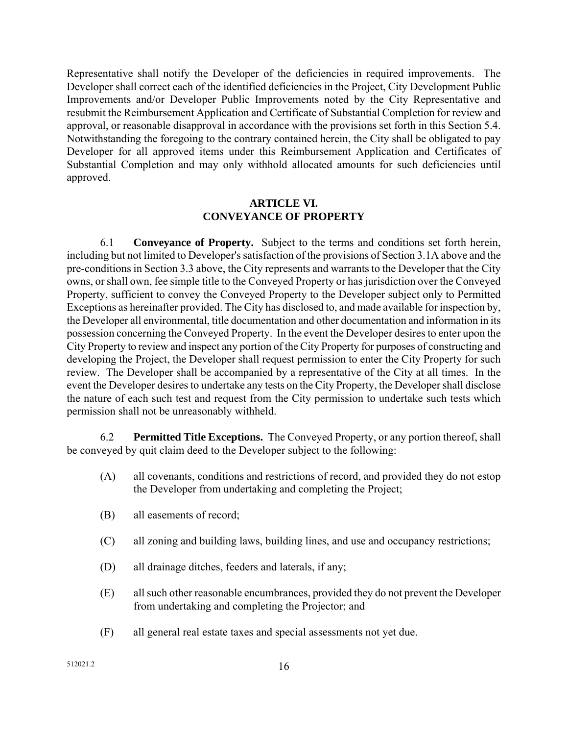Representative shall notify the Developer of the deficiencies in required improvements. The Developer shall correct each of the identified deficiencies in the Project, City Development Public Improvements and/or Developer Public Improvements noted by the City Representative and resubmit the Reimbursement Application and Certificate of Substantial Completion for review and approval, or reasonable disapproval in accordance with the provisions set forth in this Section 5.4. Notwithstanding the foregoing to the contrary contained herein, the City shall be obligated to pay Developer for all approved items under this Reimbursement Application and Certificates of Substantial Completion and may only withhold allocated amounts for such deficiencies until approved.

#### **ARTICLE VI. CONVEYANCE OF PROPERTY**

6.1 **Conveyance of Property.** Subject to the terms and conditions set forth herein, including but not limited to Developer's satisfaction of the provisions of Section 3.1A above and the pre-conditions in Section 3.3 above, the City represents and warrants to the Developer that the City owns, or shall own, fee simple title to the Conveyed Property or has jurisdiction over the Conveyed Property, sufficient to convey the Conveyed Property to the Developer subject only to Permitted Exceptions as hereinafter provided. The City has disclosed to, and made available for inspection by, the Developer all environmental, title documentation and other documentation and information in its possession concerning the Conveyed Property. In the event the Developer desires to enter upon the City Property to review and inspect any portion of the City Property for purposes of constructing and developing the Project, the Developer shall request permission to enter the City Property for such review. The Developer shall be accompanied by a representative of the City at all times. In the event the Developer desires to undertake any tests on the City Property, the Developer shall disclose the nature of each such test and request from the City permission to undertake such tests which permission shall not be unreasonably withheld.

6.2 **Permitted Title Exceptions.** The Conveyed Property, or any portion thereof, shall be conveyed by quit claim deed to the Developer subject to the following:

- (A) all covenants, conditions and restrictions of record, and provided they do not estop the Developer from undertaking and completing the Project;
- (B) all easements of record;
- (C) all zoning and building laws, building lines, and use and occupancy restrictions;
- (D) all drainage ditches, feeders and laterals, if any;
- (E) all such other reasonable encumbrances, provided they do not prevent the Developer from undertaking and completing the Projector; and
- (F) all general real estate taxes and special assessments not yet due.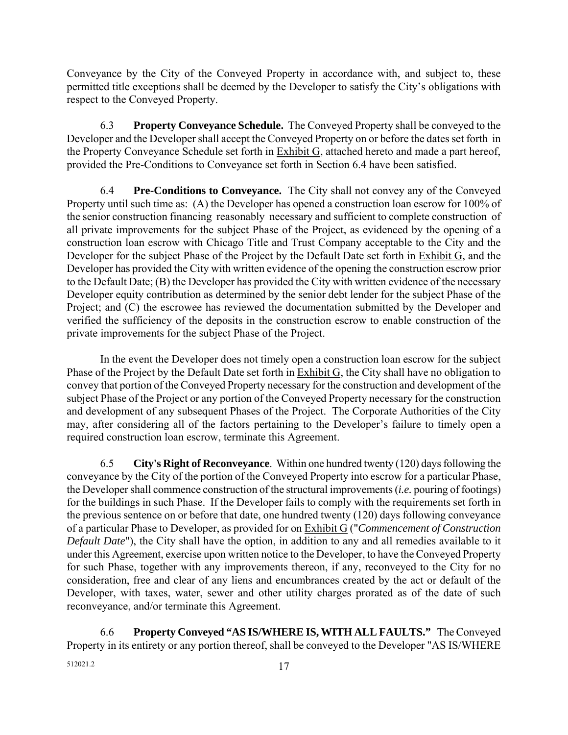Conveyance by the City of the Conveyed Property in accordance with, and subject to, these permitted title exceptions shall be deemed by the Developer to satisfy the City's obligations with respect to the Conveyed Property.

6.3 **Property Conveyance Schedule.** The Conveyed Property shall be conveyed to the Developer and the Developer shall accept the Conveyed Property on or before the dates set forth in the Property Conveyance Schedule set forth in Exhibit G, attached hereto and made a part hereof, provided the Pre-Conditions to Conveyance set forth in Section 6.4 have been satisfied.

 6.4 **Pre-Conditions to Conveyance.** The City shall not convey any of the Conveyed Property until such time as: (A) the Developer has opened a construction loan escrow for 100% of the senior construction financing reasonably necessary and sufficient to complete construction of all private improvements for the subject Phase of the Project, as evidenced by the opening of a construction loan escrow with Chicago Title and Trust Company acceptable to the City and the Developer for the subject Phase of the Project by the Default Date set forth in Exhibit G, and the Developer has provided the City with written evidence of the opening the construction escrow prior to the Default Date; (B) the Developer has provided the City with written evidence of the necessary Developer equity contribution as determined by the senior debt lender for the subject Phase of the Project; and (C) the escrowee has reviewed the documentation submitted by the Developer and verified the sufficiency of the deposits in the construction escrow to enable construction of the private improvements for the subject Phase of the Project.

 In the event the Developer does not timely open a construction loan escrow for the subject Phase of the Project by the Default Date set forth in Exhibit G, the City shall have no obligation to convey that portion of the Conveyed Property necessary for the construction and development of the subject Phase of the Project or any portion of the Conveyed Property necessary for the construction and development of any subsequent Phases of the Project. The Corporate Authorities of the City may, after considering all of the factors pertaining to the Developer's failure to timely open a required construction loan escrow, terminate this Agreement.

 6.5 **City's Right of Reconveyance**. Within one hundred twenty (120) days following the conveyance by the City of the portion of the Conveyed Property into escrow for a particular Phase, the Developer shall commence construction of the structural improvements (*i.e.* pouring of footings) for the buildings in such Phase. If the Developer fails to comply with the requirements set forth in the previous sentence on or before that date, one hundred twenty (120) days following conveyance of a particular Phase to Developer, as provided for on Exhibit G ("*Commencement of Construction Default Date*"), the City shall have the option, in addition to any and all remedies available to it under this Agreement, exercise upon written notice to the Developer, to have the Conveyed Property for such Phase, together with any improvements thereon, if any, reconveyed to the City for no consideration, free and clear of any liens and encumbrances created by the act or default of the Developer, with taxes, water, sewer and other utility charges prorated as of the date of such reconveyance, and/or terminate this Agreement.

6.6 **Property Conveyed "AS IS/WHERE IS, WITH ALL FAULTS."** The Conveyed Property in its entirety or any portion thereof, shall be conveyed to the Developer "AS IS/WHERE

512021.2 17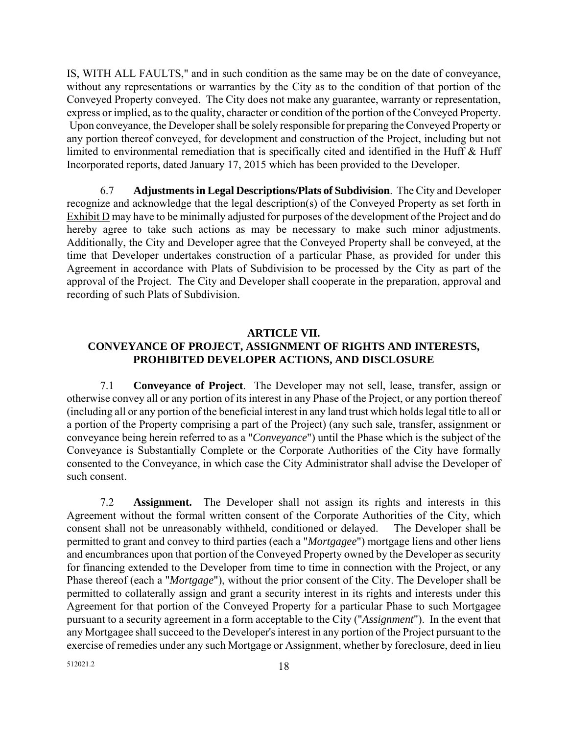IS, WITH ALL FAULTS," and in such condition as the same may be on the date of conveyance, without any representations or warranties by the City as to the condition of that portion of the Conveyed Property conveyed. The City does not make any guarantee, warranty or representation, express or implied, as to the quality, character or condition of the portion of the Conveyed Property. Upon conveyance, the Developer shall be solely responsible for preparing the Conveyed Property or any portion thereof conveyed, for development and construction of the Project, including but not limited to environmental remediation that is specifically cited and identified in the Huff & Huff Incorporated reports, dated January 17, 2015 which has been provided to the Developer.

 6.7 **Adjustments in Legal Descriptions/Plats of Subdivision**. The City and Developer recognize and acknowledge that the legal description(s) of the Conveyed Property as set forth in Exhibit D may have to be minimally adjusted for purposes of the development of the Project and do hereby agree to take such actions as may be necessary to make such minor adjustments. Additionally, the City and Developer agree that the Conveyed Property shall be conveyed, at the time that Developer undertakes construction of a particular Phase, as provided for under this Agreement in accordance with Plats of Subdivision to be processed by the City as part of the approval of the Project. The City and Developer shall cooperate in the preparation, approval and recording of such Plats of Subdivision.

## **ARTICLE VII. CONVEYANCE OF PROJECT, ASSIGNMENT OF RIGHTS AND INTERESTS, PROHIBITED DEVELOPER ACTIONS, AND DISCLOSURE**

7.1 **Conveyance of Project**. The Developer may not sell, lease, transfer, assign or otherwise convey all or any portion of its interest in any Phase of the Project, or any portion thereof (including all or any portion of the beneficial interest in any land trust which holds legal title to all or a portion of the Property comprising a part of the Project) (any such sale, transfer, assignment or conveyance being herein referred to as a "*Conveyance*") until the Phase which is the subject of the Conveyance is Substantially Complete or the Corporate Authorities of the City have formally consented to the Conveyance, in which case the City Administrator shall advise the Developer of such consent.

 7.2 **Assignment.** The Developer shall not assign its rights and interests in this Agreement without the formal written consent of the Corporate Authorities of the City, which consent shall not be unreasonably withheld, conditioned or delayed. The Developer shall be permitted to grant and convey to third parties (each a "*Mortgagee*") mortgage liens and other liens and encumbrances upon that portion of the Conveyed Property owned by the Developer as security for financing extended to the Developer from time to time in connection with the Project, or any Phase thereof (each a "*Mortgage*"), without the prior consent of the City. The Developer shall be permitted to collaterally assign and grant a security interest in its rights and interests under this Agreement for that portion of the Conveyed Property for a particular Phase to such Mortgagee pursuant to a security agreement in a form acceptable to the City ("*Assignment*"). In the event that any Mortgagee shall succeed to the Developer's interest in any portion of the Project pursuant to the exercise of remedies under any such Mortgage or Assignment, whether by foreclosure, deed in lieu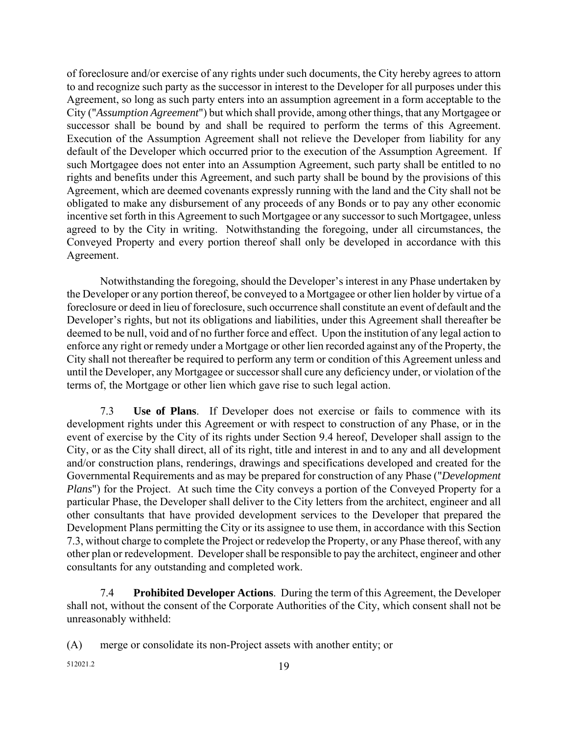of foreclosure and/or exercise of any rights under such documents, the City hereby agrees to attorn to and recognize such party as the successor in interest to the Developer for all purposes under this Agreement, so long as such party enters into an assumption agreement in a form acceptable to the City ("*Assumption Agreement*") but which shall provide, among other things, that any Mortgagee or successor shall be bound by and shall be required to perform the terms of this Agreement. Execution of the Assumption Agreement shall not relieve the Developer from liability for any default of the Developer which occurred prior to the execution of the Assumption Agreement. If such Mortgagee does not enter into an Assumption Agreement, such party shall be entitled to no rights and benefits under this Agreement, and such party shall be bound by the provisions of this Agreement, which are deemed covenants expressly running with the land and the City shall not be obligated to make any disbursement of any proceeds of any Bonds or to pay any other economic incentive set forth in this Agreement to such Mortgagee or any successor to such Mortgagee, unless agreed to by the City in writing. Notwithstanding the foregoing, under all circumstances, the Conveyed Property and every portion thereof shall only be developed in accordance with this Agreement.

 Notwithstanding the foregoing, should the Developer's interest in any Phase undertaken by the Developer or any portion thereof, be conveyed to a Mortgagee or other lien holder by virtue of a foreclosure or deed in lieu of foreclosure, such occurrence shall constitute an event of default and the Developer's rights, but not its obligations and liabilities, under this Agreement shall thereafter be deemed to be null, void and of no further force and effect. Upon the institution of any legal action to enforce any right or remedy under a Mortgage or other lien recorded against any of the Property, the City shall not thereafter be required to perform any term or condition of this Agreement unless and until the Developer, any Mortgagee or successor shall cure any deficiency under, or violation of the terms of, the Mortgage or other lien which gave rise to such legal action.

 7.3 **Use of Plans**. If Developer does not exercise or fails to commence with its development rights under this Agreement or with respect to construction of any Phase, or in the event of exercise by the City of its rights under Section 9.4 hereof, Developer shall assign to the City, or as the City shall direct, all of its right, title and interest in and to any and all development and/or construction plans, renderings, drawings and specifications developed and created for the Governmental Requirements and as may be prepared for construction of any Phase ("*Development Plans*") for the Project. At such time the City conveys a portion of the Conveyed Property for a particular Phase, the Developer shall deliver to the City letters from the architect, engineer and all other consultants that have provided development services to the Developer that prepared the Development Plans permitting the City or its assignee to use them, in accordance with this Section 7.3, without charge to complete the Project or redevelop the Property, or any Phase thereof, with any other plan or redevelopment. Developer shall be responsible to pay the architect, engineer and other consultants for any outstanding and completed work.

 7.4 **Prohibited Developer Actions**. During the term of this Agreement, the Developer shall not, without the consent of the Corporate Authorities of the City, which consent shall not be unreasonably withheld:

(A) merge or consolidate its non-Project assets with another entity; or

512021.2 19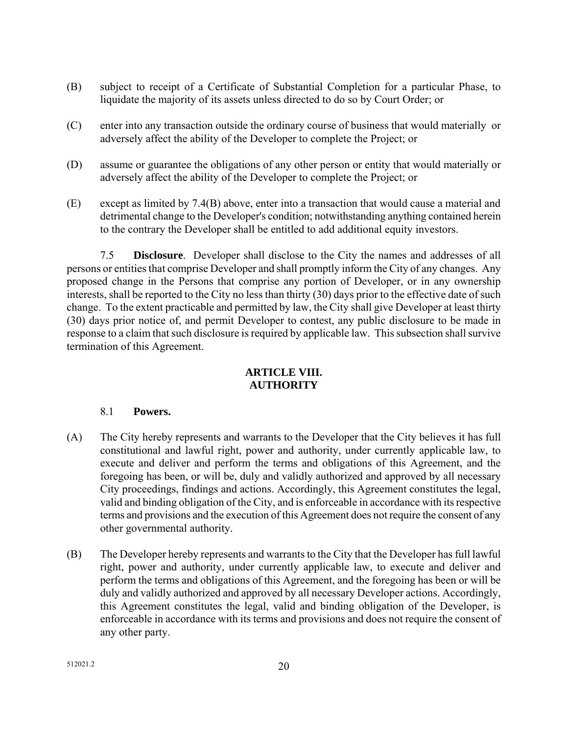- (B) subject to receipt of a Certificate of Substantial Completion for a particular Phase, to liquidate the majority of its assets unless directed to do so by Court Order; or
- (C) enter into any transaction outside the ordinary course of business that would materially or adversely affect the ability of the Developer to complete the Project; or
- (D) assume or guarantee the obligations of any other person or entity that would materially or adversely affect the ability of the Developer to complete the Project; or
- (E) except as limited by 7.4(B) above, enter into a transaction that would cause a material and detrimental change to the Developer's condition; notwithstanding anything contained herein to the contrary the Developer shall be entitled to add additional equity investors.

7.5 **Disclosure**. Developer shall disclose to the City the names and addresses of all persons or entities that comprise Developer and shall promptly inform the City of any changes. Any proposed change in the Persons that comprise any portion of Developer, or in any ownership interests, shall be reported to the City no less than thirty (30) days prior to the effective date of such change. To the extent practicable and permitted by law, the City shall give Developer at least thirty (30) days prior notice of, and permit Developer to contest, any public disclosure to be made in response to a claim that such disclosure is required by applicable law. This subsection shall survive termination of this Agreement.

# **ARTICLE VIII. AUTHORITY**

# 8.1 **Powers.**

- (A) The City hereby represents and warrants to the Developer that the City believes it has full constitutional and lawful right, power and authority, under currently applicable law, to execute and deliver and perform the terms and obligations of this Agreement, and the foregoing has been, or will be, duly and validly authorized and approved by all necessary City proceedings, findings and actions. Accordingly, this Agreement constitutes the legal, valid and binding obligation of the City, and is enforceable in accordance with its respective terms and provisions and the execution of this Agreement does not require the consent of any other governmental authority.
- (B) The Developer hereby represents and warrants to the City that the Developer has full lawful right, power and authority, under currently applicable law, to execute and deliver and perform the terms and obligations of this Agreement, and the foregoing has been or will be duly and validly authorized and approved by all necessary Developer actions. Accordingly, this Agreement constitutes the legal, valid and binding obligation of the Developer, is enforceable in accordance with its terms and provisions and does not require the consent of any other party.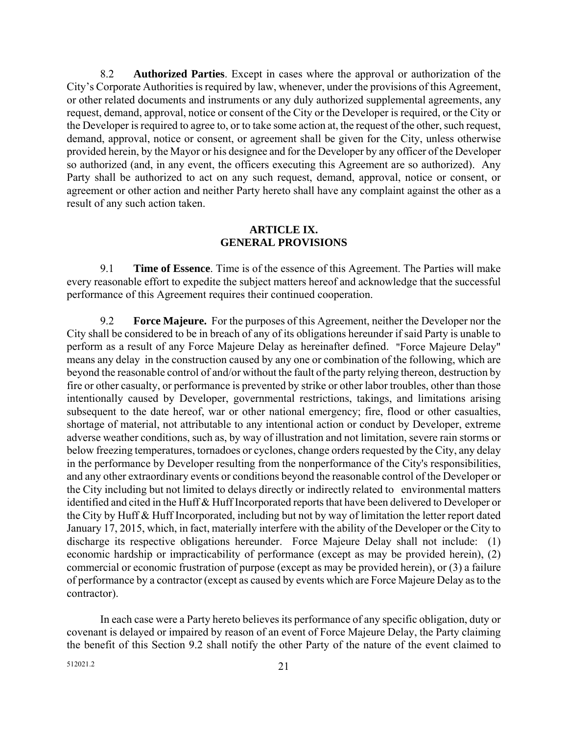8.2 **Authorized Parties**. Except in cases where the approval or authorization of the City's Corporate Authorities is required by law, whenever, under the provisions of this Agreement, or other related documents and instruments or any duly authorized supplemental agreements, any request, demand, approval, notice or consent of the City or the Developer is required, or the City or the Developer is required to agree to, or to take some action at, the request of the other, such request, demand, approval, notice or consent, or agreement shall be given for the City, unless otherwise provided herein, by the Mayor or his designee and for the Developer by any officer of the Developer so authorized (and, in any event, the officers executing this Agreement are so authorized). Any Party shall be authorized to act on any such request, demand, approval, notice or consent, or agreement or other action and neither Party hereto shall have any complaint against the other as a result of any such action taken.

#### **ARTICLE IX. GENERAL PROVISIONS**

9.1 **Time of Essence**. Time is of the essence of this Agreement. The Parties will make every reasonable effort to expedite the subject matters hereof and acknowledge that the successful performance of this Agreement requires their continued cooperation.

9.2 **Force Majeure.** For the purposes of this Agreement, neither the Developer nor the City shall be considered to be in breach of any of its obligations hereunder if said Party is unable to perform as a result of any Force Majeure Delay as hereinafter defined. "Force Majeure Delay" means any delay in the construction caused by any one or combination of the following, which are beyond the reasonable control of and/or without the fault of the party relying thereon, destruction by fire or other casualty, or performance is prevented by strike or other labor troubles, other than those intentionally caused by Developer, governmental restrictions, takings, and limitations arising subsequent to the date hereof, war or other national emergency; fire, flood or other casualties, shortage of material, not attributable to any intentional action or conduct by Developer, extreme adverse weather conditions, such as, by way of illustration and not limitation, severe rain storms or below freezing temperatures, tornadoes or cyclones, change orders requested by the City, any delay in the performance by Developer resulting from the nonperformance of the City's responsibilities, and any other extraordinary events or conditions beyond the reasonable control of the Developer or the City including but not limited to delays directly or indirectly related to environmental matters identified and cited in the Huff & Huff Incorporated reports that have been delivered to Developer or the City by Huff & Huff Incorporated, including but not by way of limitation the letter report dated January 17, 2015, which, in fact, materially interfere with the ability of the Developer or the City to discharge its respective obligations hereunder. Force Majeure Delay shall not include: (1) economic hardship or impracticability of performance (except as may be provided herein), (2) commercial or economic frustration of purpose (except as may be provided herein), or (3) a failure of performance by a contractor (except as caused by events which are Force Majeure Delay as to the contractor).

In each case were a Party hereto believes its performance of any specific obligation, duty or covenant is delayed or impaired by reason of an event of Force Majeure Delay, the Party claiming the benefit of this Section 9.2 shall notify the other Party of the nature of the event claimed to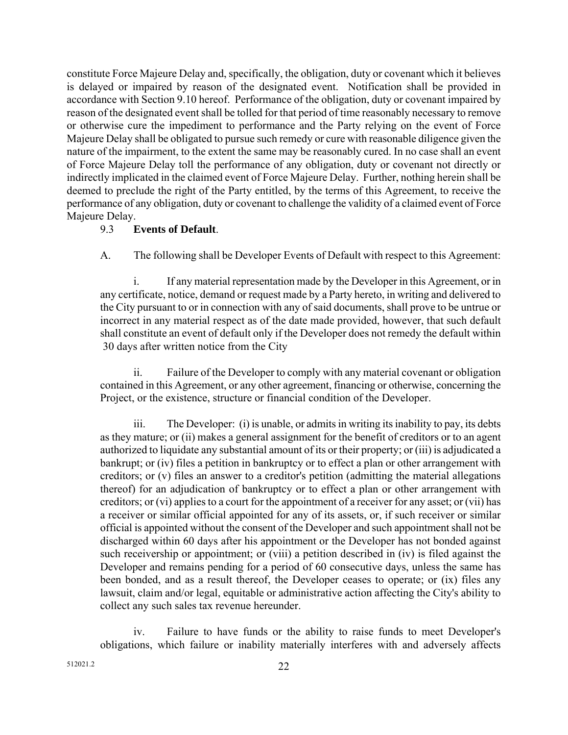constitute Force Majeure Delay and, specifically, the obligation, duty or covenant which it believes is delayed or impaired by reason of the designated event. Notification shall be provided in accordance with Section 9.10 hereof. Performance of the obligation, duty or covenant impaired by reason of the designated event shall be tolled for that period of time reasonably necessary to remove or otherwise cure the impediment to performance and the Party relying on the event of Force Majeure Delay shall be obligated to pursue such remedy or cure with reasonable diligence given the nature of the impairment, to the extent the same may be reasonably cured. In no case shall an event of Force Majeure Delay toll the performance of any obligation, duty or covenant not directly or indirectly implicated in the claimed event of Force Majeure Delay. Further, nothing herein shall be deemed to preclude the right of the Party entitled, by the terms of this Agreement, to receive the performance of any obligation, duty or covenant to challenge the validity of a claimed event of Force Majeure Delay.

#### 9.3 **Events of Default**.

A. The following shall be Developer Events of Default with respect to this Agreement:

 i. If any material representation made by the Developer in this Agreement, or in any certificate, notice, demand or request made by a Party hereto, in writing and delivered to the City pursuant to or in connection with any of said documents, shall prove to be untrue or incorrect in any material respect as of the date made provided, however, that such default shall constitute an event of default only if the Developer does not remedy the default within 30 days after written notice from the City

 ii. Failure of the Developer to comply with any material covenant or obligation contained in this Agreement, or any other agreement, financing or otherwise, concerning the Project, or the existence, structure or financial condition of the Developer.

 iii. The Developer: (i) is unable, or admits in writing its inability to pay, its debts as they mature; or (ii) makes a general assignment for the benefit of creditors or to an agent authorized to liquidate any substantial amount of its or their property; or (iii) is adjudicated a bankrupt; or (iv) files a petition in bankruptcy or to effect a plan or other arrangement with creditors; or (v) files an answer to a creditor's petition (admitting the material allegations thereof) for an adjudication of bankruptcy or to effect a plan or other arrangement with creditors; or (vi) applies to a court for the appointment of a receiver for any asset; or (vii) has a receiver or similar official appointed for any of its assets, or, if such receiver or similar official is appointed without the consent of the Developer and such appointment shall not be discharged within 60 days after his appointment or the Developer has not bonded against such receivership or appointment; or (viii) a petition described in (iv) is filed against the Developer and remains pending for a period of 60 consecutive days, unless the same has been bonded, and as a result thereof, the Developer ceases to operate; or (ix) files any lawsuit, claim and/or legal, equitable or administrative action affecting the City's ability to collect any such sales tax revenue hereunder.

 iv. Failure to have funds or the ability to raise funds to meet Developer's obligations, which failure or inability materially interferes with and adversely affects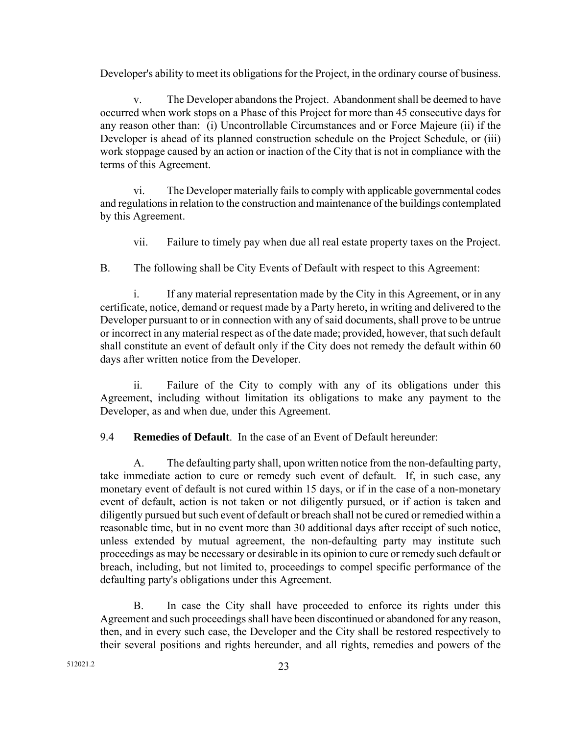Developer's ability to meet its obligations for the Project, in the ordinary course of business.

 v. The Developer abandons the Project. Abandonment shall be deemed to have occurred when work stops on a Phase of this Project for more than 45 consecutive days for any reason other than: (i) Uncontrollable Circumstances and or Force Majeure (ii) if the Developer is ahead of its planned construction schedule on the Project Schedule, or (iii) work stoppage caused by an action or inaction of the City that is not in compliance with the terms of this Agreement.

 vi. The Developer materially fails to comply with applicable governmental codes and regulations in relation to the construction and maintenance of the buildings contemplated by this Agreement.

vii. Failure to timely pay when due all real estate property taxes on the Project.

B. The following shall be City Events of Default with respect to this Agreement:

 i. If any material representation made by the City in this Agreement, or in any certificate, notice, demand or request made by a Party hereto, in writing and delivered to the Developer pursuant to or in connection with any of said documents, shall prove to be untrue or incorrect in any material respect as of the date made; provided, however, that such default shall constitute an event of default only if the City does not remedy the default within 60 days after written notice from the Developer.

 ii. Failure of the City to comply with any of its obligations under this Agreement, including without limitation its obligations to make any payment to the Developer, as and when due, under this Agreement.

9.4 **Remedies of Default**. In the case of an Event of Default hereunder:

 A. The defaulting party shall, upon written notice from the non-defaulting party, take immediate action to cure or remedy such event of default. If, in such case, any monetary event of default is not cured within 15 days, or if in the case of a non-monetary event of default, action is not taken or not diligently pursued, or if action is taken and diligently pursued but such event of default or breach shall not be cured or remedied within a reasonable time, but in no event more than 30 additional days after receipt of such notice, unless extended by mutual agreement, the non-defaulting party may institute such proceedings as may be necessary or desirable in its opinion to cure or remedy such default or breach, including, but not limited to, proceedings to compel specific performance of the defaulting party's obligations under this Agreement.

 B. In case the City shall have proceeded to enforce its rights under this Agreement and such proceedings shall have been discontinued or abandoned for any reason, then, and in every such case, the Developer and the City shall be restored respectively to their several positions and rights hereunder, and all rights, remedies and powers of the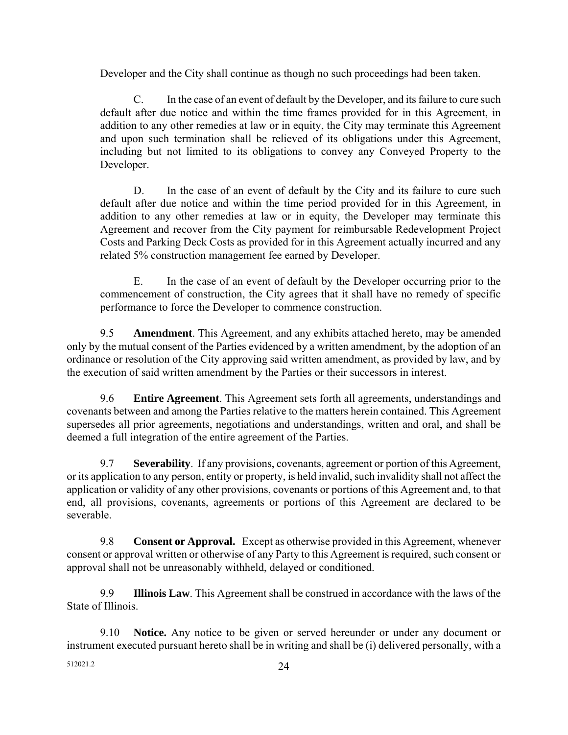Developer and the City shall continue as though no such proceedings had been taken.

 C. In the case of an event of default by the Developer, and its failure to cure such default after due notice and within the time frames provided for in this Agreement, in addition to any other remedies at law or in equity, the City may terminate this Agreement and upon such termination shall be relieved of its obligations under this Agreement, including but not limited to its obligations to convey any Conveyed Property to the Developer.

D. In the case of an event of default by the City and its failure to cure such default after due notice and within the time period provided for in this Agreement, in addition to any other remedies at law or in equity, the Developer may terminate this Agreement and recover from the City payment for reimbursable Redevelopment Project Costs and Parking Deck Costs as provided for in this Agreement actually incurred and any related 5% construction management fee earned by Developer.

 E. In the case of an event of default by the Developer occurring prior to the commencement of construction, the City agrees that it shall have no remedy of specific performance to force the Developer to commence construction.

9.5 **Amendment**. This Agreement, and any exhibits attached hereto, may be amended only by the mutual consent of the Parties evidenced by a written amendment, by the adoption of an ordinance or resolution of the City approving said written amendment, as provided by law, and by the execution of said written amendment by the Parties or their successors in interest.

9.6 **Entire Agreement**. This Agreement sets forth all agreements, understandings and covenants between and among the Parties relative to the matters herein contained. This Agreement supersedes all prior agreements, negotiations and understandings, written and oral, and shall be deemed a full integration of the entire agreement of the Parties.

9.7 **Severability**. If any provisions, covenants, agreement or portion of this Agreement, or its application to any person, entity or property, is held invalid, such invalidity shall not affect the application or validity of any other provisions, covenants or portions of this Agreement and, to that end, all provisions, covenants, agreements or portions of this Agreement are declared to be severable.

9.8 **Consent or Approval.** Except as otherwise provided in this Agreement, whenever consent or approval written or otherwise of any Party to this Agreement is required, such consent or approval shall not be unreasonably withheld, delayed or conditioned.

9.9 **Illinois Law**. This Agreement shall be construed in accordance with the laws of the State of Illinois.

9.10 **Notice.** Any notice to be given or served hereunder or under any document or instrument executed pursuant hereto shall be in writing and shall be (i) delivered personally, with a

 $512021.2$  24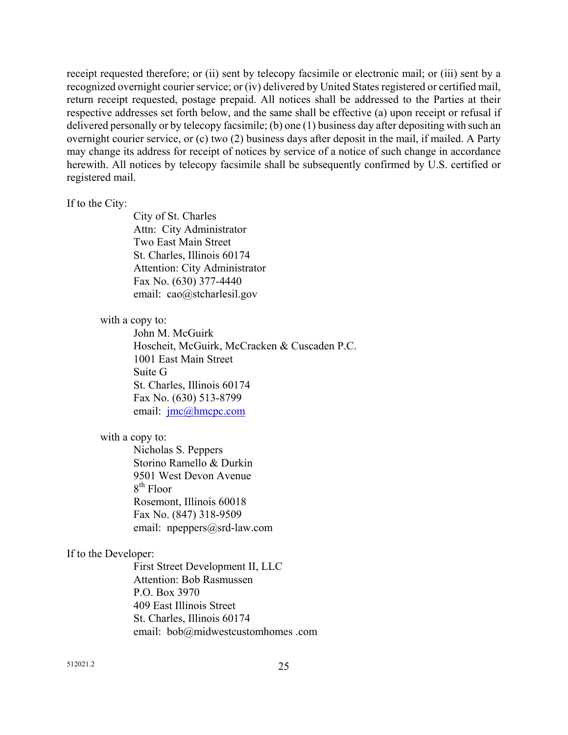receipt requested therefore; or (ii) sent by telecopy facsimile or electronic mail; or (iii) sent by a recognized overnight courier service; or (iv) delivered by United States registered or certified mail, return receipt requested, postage prepaid. All notices shall be addressed to the Parties at their respective addresses set forth below, and the same shall be effective (a) upon receipt or refusal if delivered personally or by telecopy facsimile; (b) one (1) business day after depositing with such an overnight courier service, or (c) two (2) business days after deposit in the mail, if mailed. A Party may change its address for receipt of notices by service of a notice of such change in accordance herewith. All notices by telecopy facsimile shall be subsequently confirmed by U.S. certified or registered mail.

#### If to the City:

City of St. Charles Attn: City Administrator Two East Main Street St. Charles, Illinois 60174 Attention: City Administrator Fax No. (630) 377-4440 email: cao@stcharlesil.gov

#### with a copy to:

 John M. McGuirk Hoscheit, McGuirk, McCracken & Cuscaden P.C. 1001 East Main Street Suite G St. Charles, Illinois 60174 Fax No. (630) 513-8799 email: jmc@hmcpc.com

#### with a copy to:

Nicholas S. Peppers Storino Ramello & Durkin 9501 West Devon Avenue  $8<sup>th</sup>$  Floor Rosemont, Illinois 60018 Fax No. (847) 318-9509 email: npeppers@srd-law.com

#### If to the Developer:

First Street Development II, LLC Attention: Bob Rasmussen P.O. Box 3970 409 East Illinois Street St. Charles, Illinois 60174 email: bob@midwestcustomhomes .com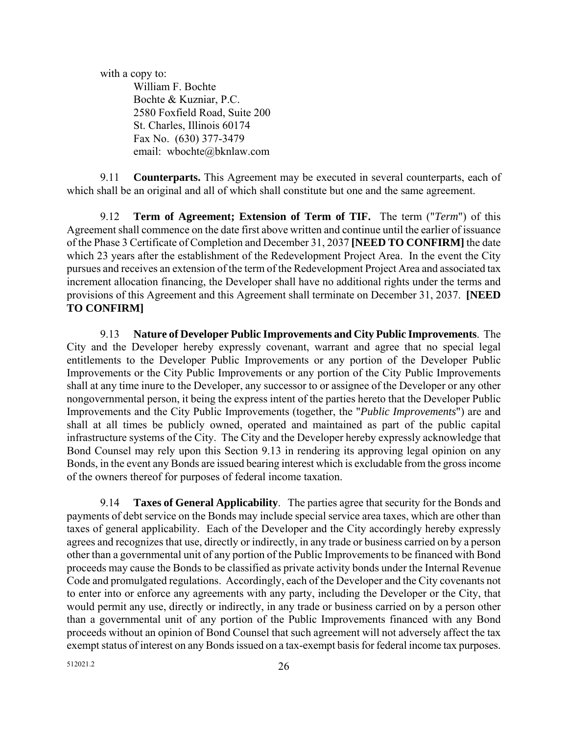with a copy to: William F. Bochte Bochte & Kuzniar, P.C. 2580 Foxfield Road, Suite 200 St. Charles, Illinois 60174 Fax No. (630) 377-3479 email: wbochte@bknlaw.com

9.11 **Counterparts.** This Agreement may be executed in several counterparts, each of which shall be an original and all of which shall constitute but one and the same agreement.

9.12 **Term of Agreement; Extension of Term of TIF.** The term ("*Term*") of this Agreement shall commence on the date first above written and continue until the earlier of issuance of the Phase 3 Certificate of Completion and December 31, 2037 **[NEED TO CONFIRM]** the date which 23 years after the establishment of the Redevelopment Project Area. In the event the City pursues and receives an extension of the term of the Redevelopment Project Area and associated tax increment allocation financing, the Developer shall have no additional rights under the terms and provisions of this Agreement and this Agreement shall terminate on December 31, 2037. **[NEED TO CONFIRM]** 

9.13 **Nature of Developer Public Improvements and City Public Improvements**. The City and the Developer hereby expressly covenant, warrant and agree that no special legal entitlements to the Developer Public Improvements or any portion of the Developer Public Improvements or the City Public Improvements or any portion of the City Public Improvements shall at any time inure to the Developer, any successor to or assignee of the Developer or any other nongovernmental person, it being the express intent of the parties hereto that the Developer Public Improvements and the City Public Improvements (together, the "*Public Improvements*") are and shall at all times be publicly owned, operated and maintained as part of the public capital infrastructure systems of the City. The City and the Developer hereby expressly acknowledge that Bond Counsel may rely upon this Section 9.13 in rendering its approving legal opinion on any Bonds, in the event any Bonds are issued bearing interest which is excludable from the gross income of the owners thereof for purposes of federal income taxation.

 9.14 **Taxes of General Applicability**. The parties agree that security for the Bonds and payments of debt service on the Bonds may include special service area taxes, which are other than taxes of general applicability. Each of the Developer and the City accordingly hereby expressly agrees and recognizes that use, directly or indirectly, in any trade or business carried on by a person other than a governmental unit of any portion of the Public Improvements to be financed with Bond proceeds may cause the Bonds to be classified as private activity bonds under the Internal Revenue Code and promulgated regulations. Accordingly, each of the Developer and the City covenants not to enter into or enforce any agreements with any party, including the Developer or the City, that would permit any use, directly or indirectly, in any trade or business carried on by a person other than a governmental unit of any portion of the Public Improvements financed with any Bond proceeds without an opinion of Bond Counsel that such agreement will not adversely affect the tax exempt status of interest on any Bonds issued on a tax-exempt basis for federal income tax purposes.

 $512021.2$  26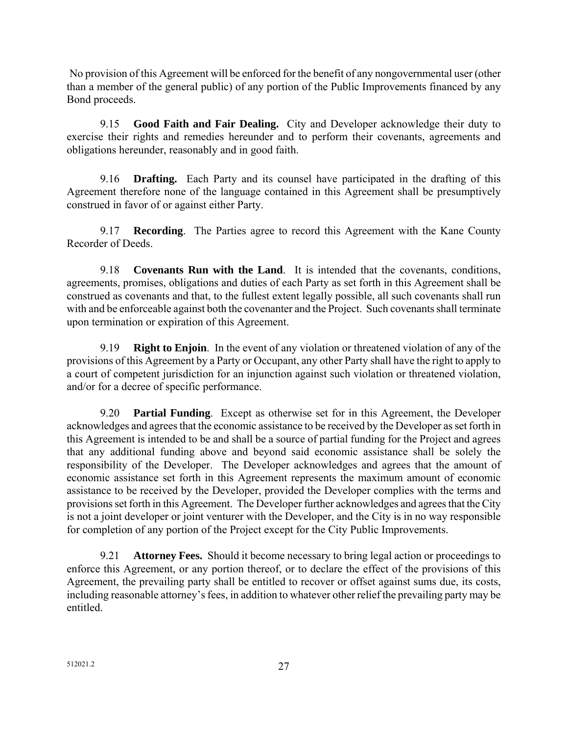No provision of this Agreement will be enforced for the benefit of any nongovernmental user (other than a member of the general public) of any portion of the Public Improvements financed by any Bond proceeds.

9.15 **Good Faith and Fair Dealing.** City and Developer acknowledge their duty to exercise their rights and remedies hereunder and to perform their covenants, agreements and obligations hereunder, reasonably and in good faith.

 9.16 **Drafting.** Each Party and its counsel have participated in the drafting of this Agreement therefore none of the language contained in this Agreement shall be presumptively construed in favor of or against either Party.

 9.17 **Recording**. The Parties agree to record this Agreement with the Kane County Recorder of Deeds.

 9.18 **Covenants Run with the Land**. It is intended that the covenants, conditions, agreements, promises, obligations and duties of each Party as set forth in this Agreement shall be construed as covenants and that, to the fullest extent legally possible, all such covenants shall run with and be enforceable against both the covenanter and the Project. Such covenants shall terminate upon termination or expiration of this Agreement.

 9.19 **Right to Enjoin**. In the event of any violation or threatened violation of any of the provisions of this Agreement by a Party or Occupant, any other Party shall have the right to apply to a court of competent jurisdiction for an injunction against such violation or threatened violation, and/or for a decree of specific performance.

 9.20 **Partial Funding**. Except as otherwise set for in this Agreement, the Developer acknowledges and agrees that the economic assistance to be received by the Developer as set forth in this Agreement is intended to be and shall be a source of partial funding for the Project and agrees that any additional funding above and beyond said economic assistance shall be solely the responsibility of the Developer. The Developer acknowledges and agrees that the amount of economic assistance set forth in this Agreement represents the maximum amount of economic assistance to be received by the Developer, provided the Developer complies with the terms and provisions set forth in this Agreement. The Developer further acknowledges and agrees that the City is not a joint developer or joint venturer with the Developer, and the City is in no way responsible for completion of any portion of the Project except for the City Public Improvements.

 9.21 **Attorney Fees.** Should it become necessary to bring legal action or proceedings to enforce this Agreement, or any portion thereof, or to declare the effect of the provisions of this Agreement, the prevailing party shall be entitled to recover or offset against sums due, its costs, including reasonable attorney's fees, in addition to whatever other relief the prevailing party may be entitled.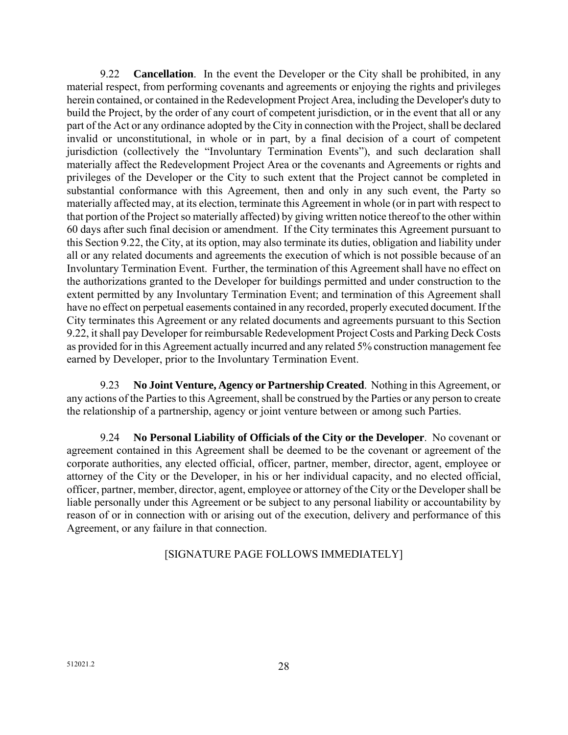9.22 **Cancellation**. In the event the Developer or the City shall be prohibited, in any material respect, from performing covenants and agreements or enjoying the rights and privileges herein contained, or contained in the Redevelopment Project Area, including the Developer's duty to build the Project, by the order of any court of competent jurisdiction, or in the event that all or any part of the Act or any ordinance adopted by the City in connection with the Project, shall be declared invalid or unconstitutional, in whole or in part, by a final decision of a court of competent jurisdiction (collectively the "Involuntary Termination Events"), and such declaration shall materially affect the Redevelopment Project Area or the covenants and Agreements or rights and privileges of the Developer or the City to such extent that the Project cannot be completed in substantial conformance with this Agreement, then and only in any such event, the Party so materially affected may, at its election, terminate this Agreement in whole (or in part with respect to that portion of the Project so materially affected) by giving written notice thereof to the other within 60 days after such final decision or amendment. If the City terminates this Agreement pursuant to this Section 9.22, the City, at its option, may also terminate its duties, obligation and liability under all or any related documents and agreements the execution of which is not possible because of an Involuntary Termination Event. Further, the termination of this Agreement shall have no effect on the authorizations granted to the Developer for buildings permitted and under construction to the extent permitted by any Involuntary Termination Event; and termination of this Agreement shall have no effect on perpetual easements contained in any recorded, properly executed document. If the City terminates this Agreement or any related documents and agreements pursuant to this Section 9.22, it shall pay Developer for reimbursable Redevelopment Project Costs and Parking Deck Costs as provided for in this Agreement actually incurred and any related 5% construction management fee earned by Developer, prior to the Involuntary Termination Event.

 9.23 **No Joint Venture, Agency or Partnership Created**. Nothing in this Agreement, or any actions of the Parties to this Agreement, shall be construed by the Parties or any person to create the relationship of a partnership, agency or joint venture between or among such Parties.

 9.24 **No Personal Liability of Officials of the City or the Developer**. No covenant or agreement contained in this Agreement shall be deemed to be the covenant or agreement of the corporate authorities, any elected official, officer, partner, member, director, agent, employee or attorney of the City or the Developer, in his or her individual capacity, and no elected official, officer, partner, member, director, agent, employee or attorney of the City or the Developer shall be liable personally under this Agreement or be subject to any personal liability or accountability by reason of or in connection with or arising out of the execution, delivery and performance of this Agreement, or any failure in that connection.

# [SIGNATURE PAGE FOLLOWS IMMEDIATELY]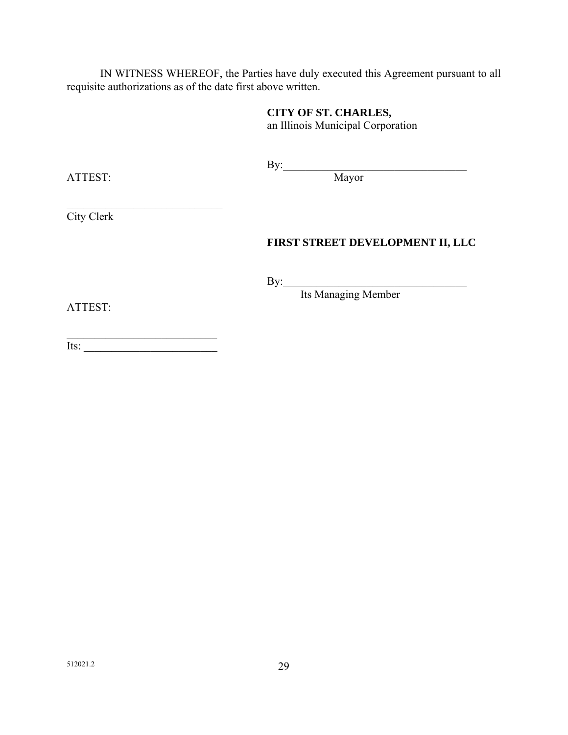IN WITNESS WHEREOF, the Parties have duly executed this Agreement pursuant to all requisite authorizations as of the date first above written.

# **CITY OF ST. CHARLES,**

an Illinois Municipal Corporation

 $\mathbf{By:}$ 

ATTEST: Mayor

 $\mathcal{L}_\text{max}$  , where  $\mathcal{L}_\text{max}$  and  $\mathcal{L}_\text{max}$ City Clerk

# **FIRST STREET DEVELOPMENT II, LLC**

 $\mathbf{By:}$ 

Its Managing Member

ATTEST:

 $\overline{\phantom{a}}$  , and the set of the set of the set of the set of the set of the set of the set of the set of the set of the set of the set of the set of the set of the set of the set of the set of the set of the set of the s  $\overline{\text{Its:}}$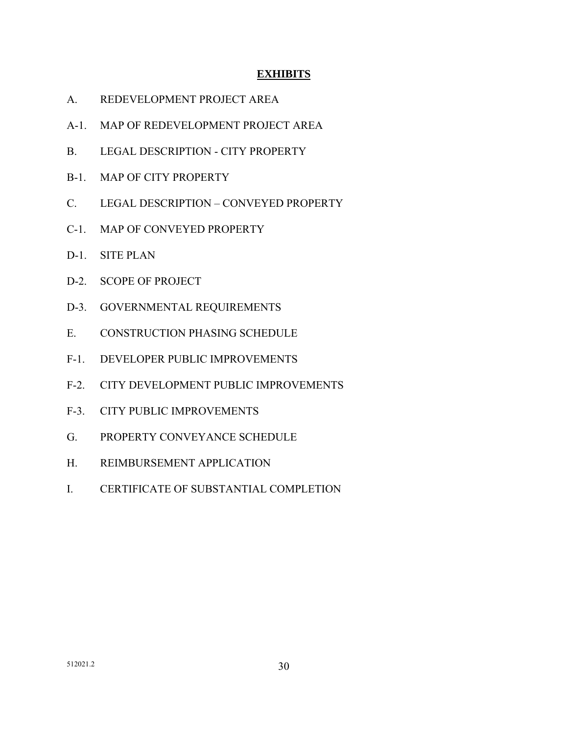## **EXHIBITS**

- A. REDEVELOPMENT PROJECT AREA
- A-1. MAP OF REDEVELOPMENT PROJECT AREA
- B. LEGAL DESCRIPTION CITY PROPERTY
- B-1. MAP OF CITY PROPERTY
- C. LEGAL DESCRIPTION CONVEYED PROPERTY
- C-1. MAP OF CONVEYED PROPERTY
- D-1. SITE PLAN
- D-2. SCOPE OF PROJECT
- D-3. GOVERNMENTAL REQUIREMENTS
- E. CONSTRUCTION PHASING SCHEDULE
- F-1. DEVELOPER PUBLIC IMPROVEMENTS
- F-2. CITY DEVELOPMENT PUBLIC IMPROVEMENTS
- F-3. CITY PUBLIC IMPROVEMENTS
- G. PROPERTY CONVEYANCE SCHEDULE
- H. REIMBURSEMENT APPLICATION
- I. CERTIFICATE OF SUBSTANTIAL COMPLETION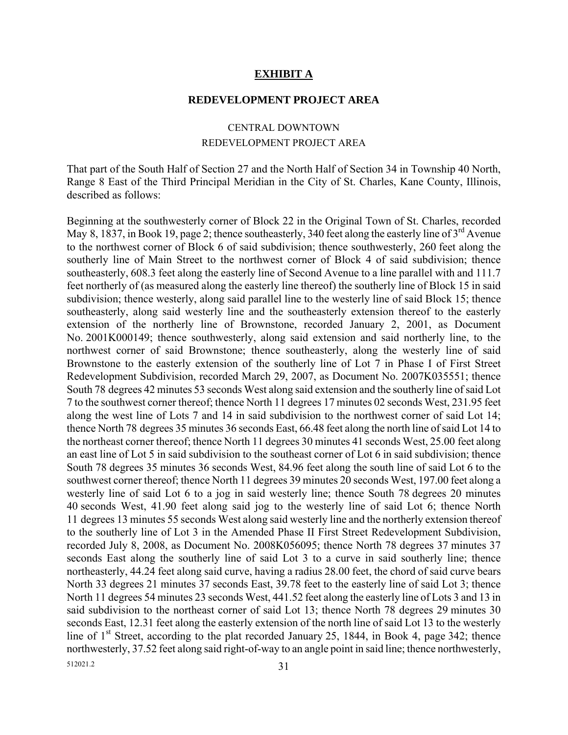#### **EXHIBIT A**

#### **REDEVELOPMENT PROJECT AREA**

# CENTRAL DOWNTOWN REDEVELOPMENT PROJECT AREA

That part of the South Half of Section 27 and the North Half of Section 34 in Township 40 North, Range 8 East of the Third Principal Meridian in the City of St. Charles, Kane County, Illinois, described as follows:

512021.2 31 Beginning at the southwesterly corner of Block 22 in the Original Town of St. Charles, recorded May 8, 1837, in Book 19, page 2; thence southeasterly, 340 feet along the easterly line of  $3<sup>rd</sup>$  Avenue to the northwest corner of Block 6 of said subdivision; thence southwesterly, 260 feet along the southerly line of Main Street to the northwest corner of Block 4 of said subdivision; thence southeasterly, 608.3 feet along the easterly line of Second Avenue to a line parallel with and 111.7 feet northerly of (as measured along the easterly line thereof) the southerly line of Block 15 in said subdivision; thence westerly, along said parallel line to the westerly line of said Block 15; thence southeasterly, along said westerly line and the southeasterly extension thereof to the easterly extension of the northerly line of Brownstone, recorded January 2, 2001, as Document No. 2001K000149; thence southwesterly, along said extension and said northerly line, to the northwest corner of said Brownstone; thence southeasterly, along the westerly line of said Brownstone to the easterly extension of the southerly line of Lot 7 in Phase I of First Street Redevelopment Subdivision, recorded March 29, 2007, as Document No. 2007K035551; thence South 78 degrees 42 minutes 53 seconds West along said extension and the southerly line of said Lot 7 to the southwest corner thereof; thence North 11 degrees 17 minutes 02 seconds West, 231.95 feet along the west line of Lots 7 and 14 in said subdivision to the northwest corner of said Lot 14; thence North 78 degrees 35 minutes 36 seconds East, 66.48 feet along the north line of said Lot 14 to the northeast corner thereof; thence North 11 degrees 30 minutes 41 seconds West, 25.00 feet along an east line of Lot 5 in said subdivision to the southeast corner of Lot 6 in said subdivision; thence South 78 degrees 35 minutes 36 seconds West, 84.96 feet along the south line of said Lot 6 to the southwest corner thereof; thence North 11 degrees 39 minutes 20 seconds West, 197.00 feet along a westerly line of said Lot 6 to a jog in said westerly line; thence South 78 degrees 20 minutes 40 seconds West, 41.90 feet along said jog to the westerly line of said Lot 6; thence North 11 degrees 13 minutes 55 seconds West along said westerly line and the northerly extension thereof to the southerly line of Lot 3 in the Amended Phase II First Street Redevelopment Subdivision, recorded July 8, 2008, as Document No. 2008K056095; thence North 78 degrees 37 minutes 37 seconds East along the southerly line of said Lot 3 to a curve in said southerly line; thence northeasterly, 44.24 feet along said curve, having a radius 28.00 feet, the chord of said curve bears North 33 degrees 21 minutes 37 seconds East, 39.78 feet to the easterly line of said Lot 3; thence North 11 degrees 54 minutes 23 seconds West, 441.52 feet along the easterly line of Lots 3 and 13 in said subdivision to the northeast corner of said Lot 13; thence North 78 degrees 29 minutes 30 seconds East, 12.31 feet along the easterly extension of the north line of said Lot 13 to the westerly line of  $1<sup>st</sup>$  Street, according to the plat recorded January 25, 1844, in Book 4, page 342; thence northwesterly, 37.52 feet along said right-of-way to an angle point in said line; thence northwesterly,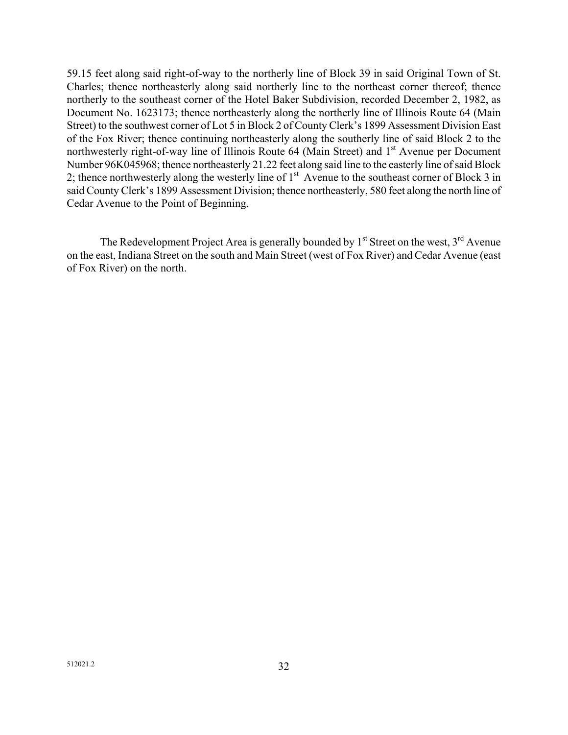59.15 feet along said right-of-way to the northerly line of Block 39 in said Original Town of St. Charles; thence northeasterly along said northerly line to the northeast corner thereof; thence northerly to the southeast corner of the Hotel Baker Subdivision, recorded December 2, 1982, as Document No. 1623173; thence northeasterly along the northerly line of Illinois Route 64 (Main Street) to the southwest corner of Lot 5 in Block 2 of County Clerk's 1899 Assessment Division East of the Fox River; thence continuing northeasterly along the southerly line of said Block 2 to the northwesterly right-of-way line of Illinois Route  $64$  (Main Street) and  $1<sup>st</sup>$  Avenue per Document Number 96K045968; thence northeasterly 21.22 feet along said line to the easterly line of said Block 2; thence northwesterly along the westerly line of  $1<sup>st</sup>$  Avenue to the southeast corner of Block 3 in said County Clerk's 1899 Assessment Division; thence northeasterly, 580 feet along the north line of Cedar Avenue to the Point of Beginning.

The Redevelopment Project Area is generally bounded by  $1<sup>st</sup>$  Street on the west,  $3<sup>rd</sup>$  Avenue on the east, Indiana Street on the south and Main Street (west of Fox River) and Cedar Avenue (east of Fox River) on the north.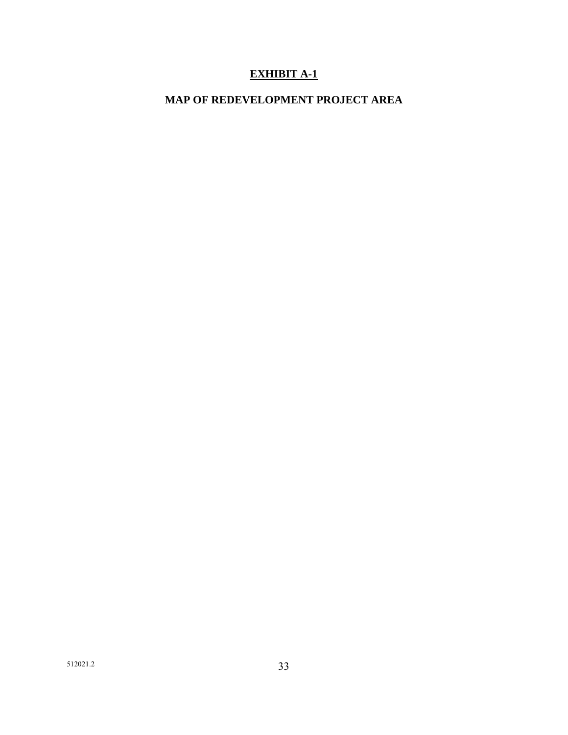# **EXHIBIT A-1**

# **MAP OF REDEVELOPMENT PROJECT AREA**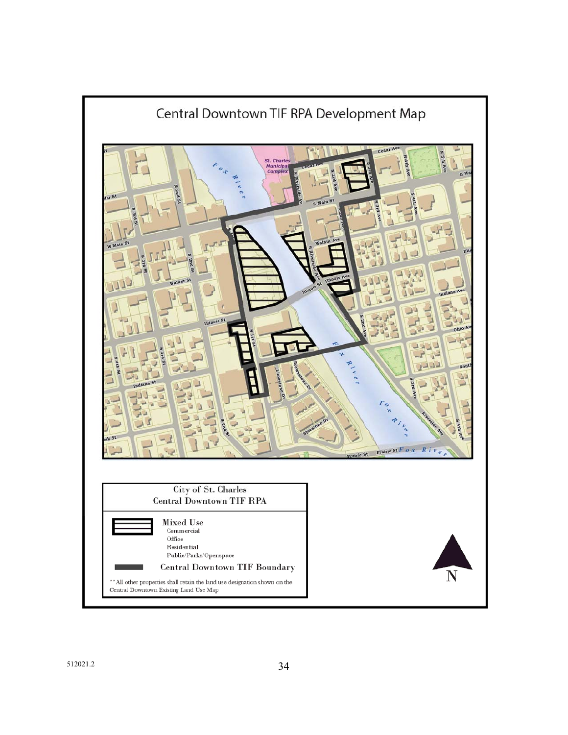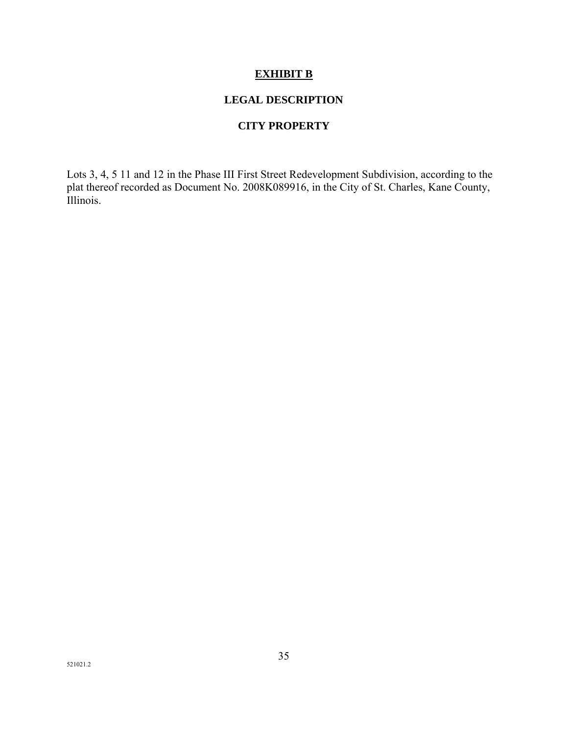# **EXHIBIT B**

# **LEGAL DESCRIPTION**

#### **CITY PROPERTY**

Lots 3, 4, 5 11 and 12 in the Phase III First Street Redevelopment Subdivision, according to the plat thereof recorded as Document No. 2008K089916, in the City of St. Charles, Kane County, Illinois.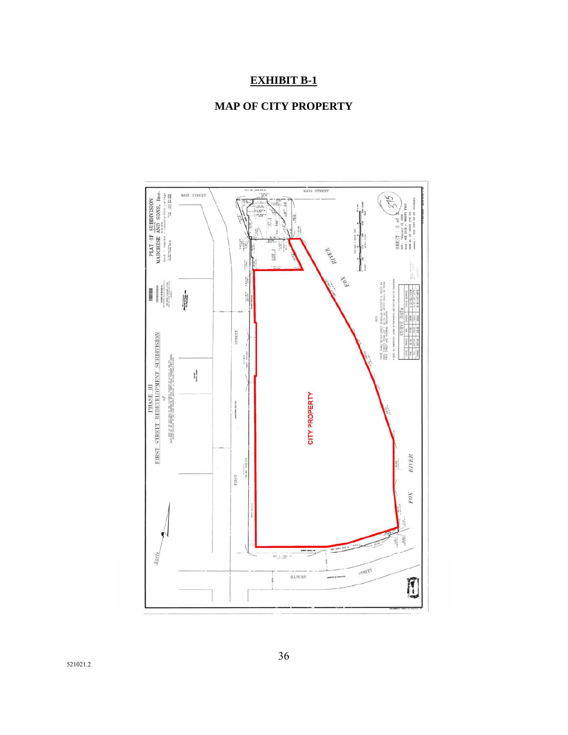# **EXHIBIT B-1**



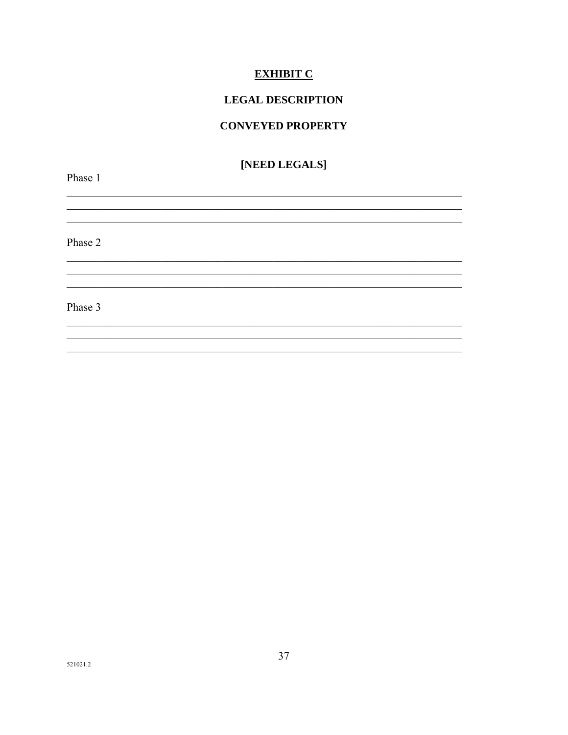# **EXHIBIT C**

# **LEGAL DESCRIPTION**

#### **CONVEYED PROPERTY**

# [NEED LEGALS]

<u> 1989 - Johann Barn, fransk politik (f. 1989)</u>

<u> 1989 - Johann Stoff, amerikansk politiker (d. 1989)</u>

Phase 1

Phase 2

Phase 3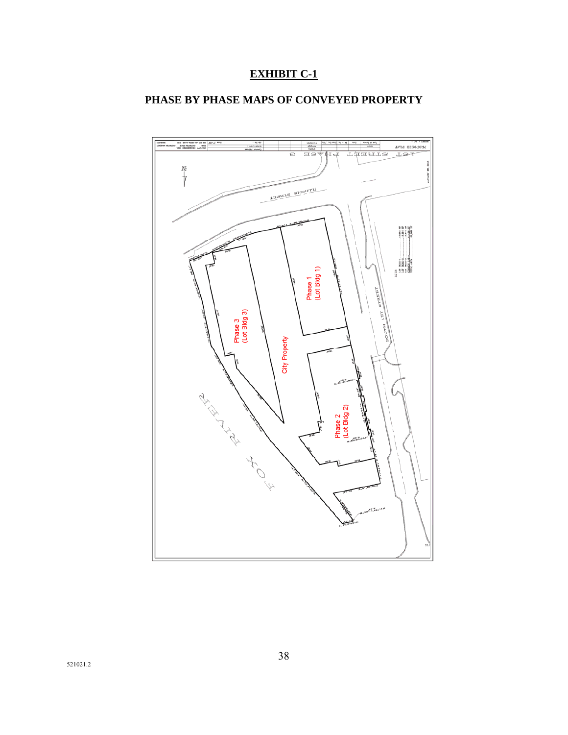# **EXHIBIT C-1**

# **PHASE BY PHASE MAPS OF CONVEYED PROPERTY**

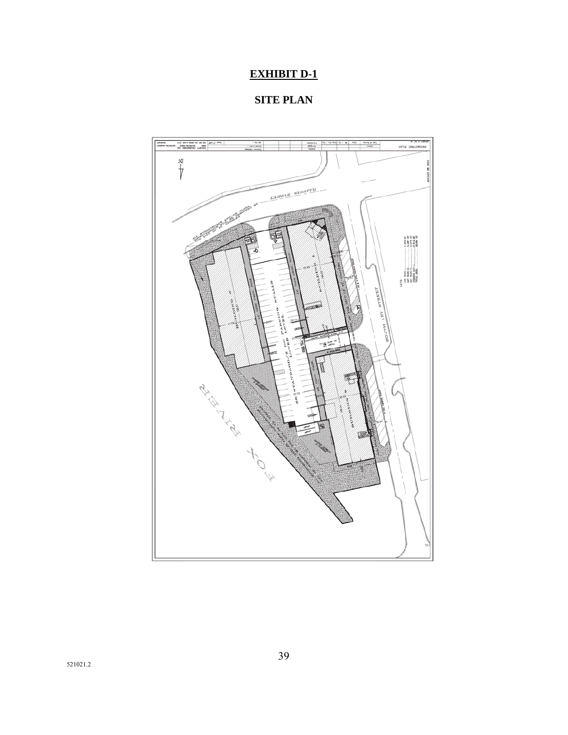# **EXHIBIT D-1**

**SITE PLAN** 

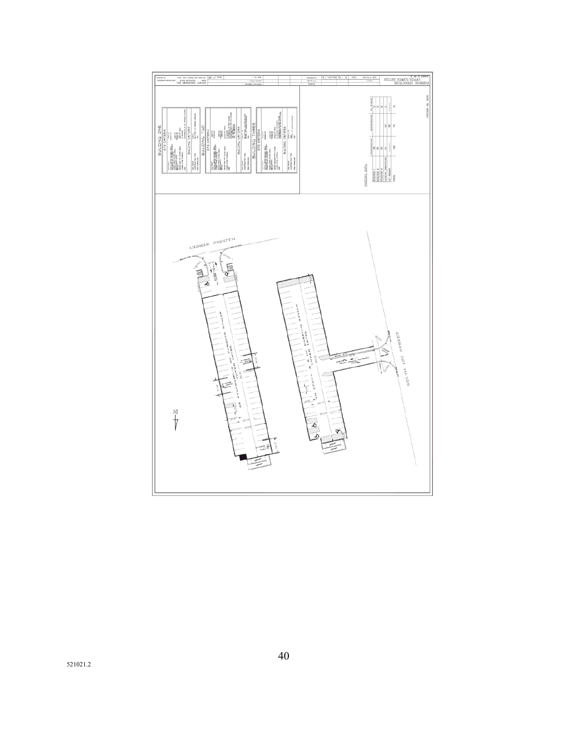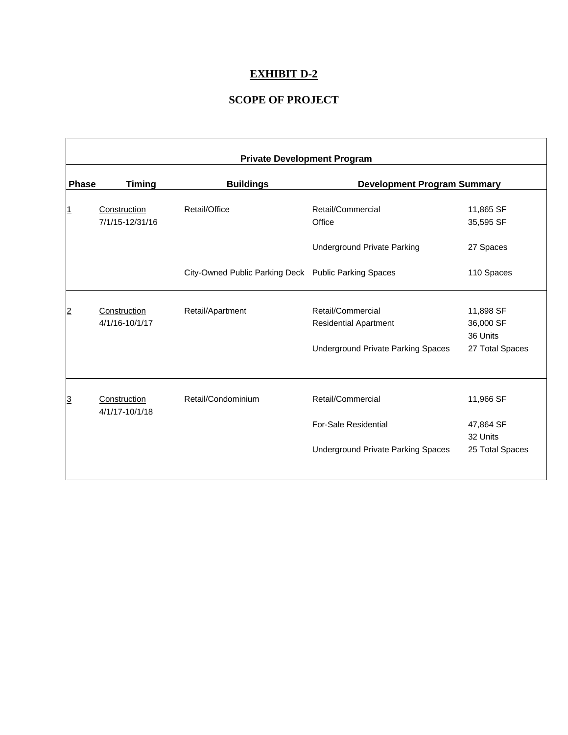# **EXHIBIT D-2**

# **SCOPE OF PROJECT**

|                | <b>Private Development Program</b> |                                                      |                                                   |                                    |  |  |  |
|----------------|------------------------------------|------------------------------------------------------|---------------------------------------------------|------------------------------------|--|--|--|
| <b>Phase</b>   | <b>Timing</b>                      | <b>Buildings</b>                                     | <b>Development Program Summary</b>                |                                    |  |  |  |
| 1              | Construction<br>7/1/15-12/31/16    | Retail/Office                                        | Retail/Commercial<br>Office                       | 11,865 SF<br>35,595 SF             |  |  |  |
|                |                                    |                                                      | <b>Underground Private Parking</b>                | 27 Spaces                          |  |  |  |
|                |                                    | City-Owned Public Parking Deck Public Parking Spaces |                                                   | 110 Spaces                         |  |  |  |
| $\overline{2}$ | Construction<br>4/1/16-10/1/17     | Retail/Apartment                                     | Retail/Commercial<br><b>Residential Apartment</b> | 11,898 SF<br>36,000 SF<br>36 Units |  |  |  |
|                |                                    |                                                      | <b>Underground Private Parking Spaces</b>         | 27 Total Spaces                    |  |  |  |
| 3              | Construction<br>4/1/17-10/1/18     | Retail/Condominium                                   | Retail/Commercial                                 | 11,966 SF                          |  |  |  |
|                |                                    |                                                      | <b>For-Sale Residential</b>                       | 47,864 SF<br>32 Units              |  |  |  |
|                |                                    |                                                      | Underground Private Parking Spaces                | 25 Total Spaces                    |  |  |  |
|                |                                    |                                                      |                                                   |                                    |  |  |  |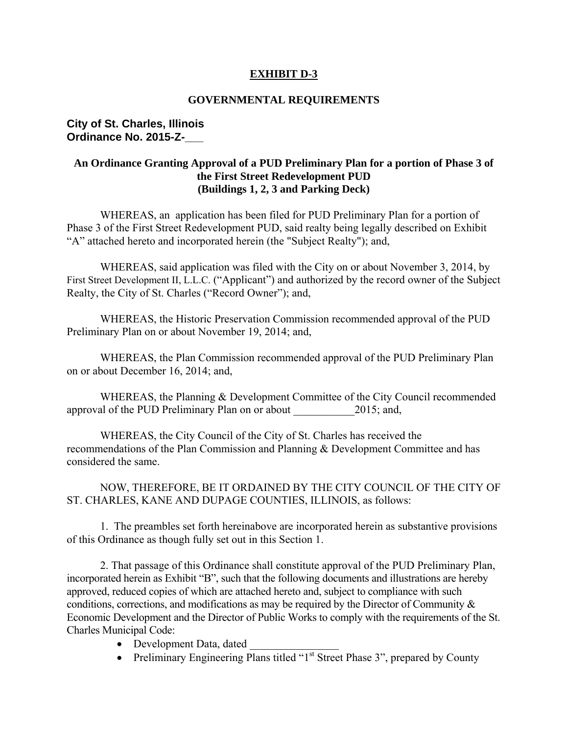# **EXHIBIT D-3**

### **GOVERNMENTAL REQUIREMENTS**

### **City of St. Charles, Illinois Ordinance No. 2015-Z-\_\_\_**

# **An Ordinance Granting Approval of a PUD Preliminary Plan for a portion of Phase 3 of the First Street Redevelopment PUD (Buildings 1, 2, 3 and Parking Deck)**

 WHEREAS, an application has been filed for PUD Preliminary Plan for a portion of Phase 3 of the First Street Redevelopment PUD, said realty being legally described on Exhibit "A" attached hereto and incorporated herein (the "Subject Realty"); and,

WHEREAS, said application was filed with the City on or about November 3, 2014, by First Street Development II, L.L.C. ("Applicant") and authorized by the record owner of the Subject Realty, the City of St. Charles ("Record Owner"); and,

WHEREAS, the Historic Preservation Commission recommended approval of the PUD Preliminary Plan on or about November 19, 2014; and,

 WHEREAS, the Plan Commission recommended approval of the PUD Preliminary Plan on or about December 16, 2014; and,

WHEREAS, the Planning & Development Committee of the City Council recommended approval of the PUD Preliminary Plan on or about 2015; and,

WHEREAS, the City Council of the City of St. Charles has received the recommendations of the Plan Commission and Planning & Development Committee and has considered the same.

NOW, THEREFORE, BE IT ORDAINED BY THE CITY COUNCIL OF THE CITY OF ST. CHARLES, KANE AND DUPAGE COUNTIES, ILLINOIS, as follows:

1. The preambles set forth hereinabove are incorporated herein as substantive provisions of this Ordinance as though fully set out in this Section 1.

2. That passage of this Ordinance shall constitute approval of the PUD Preliminary Plan, incorporated herein as Exhibit "B", such that the following documents and illustrations are hereby approved, reduced copies of which are attached hereto and, subject to compliance with such conditions, corrections, and modifications as may be required by the Director of Community & Economic Development and the Director of Public Works to comply with the requirements of the St. Charles Municipal Code:

- Development Data, dated
- Preliminary Engineering Plans titled " $1<sup>st</sup>$  Street Phase 3", prepared by County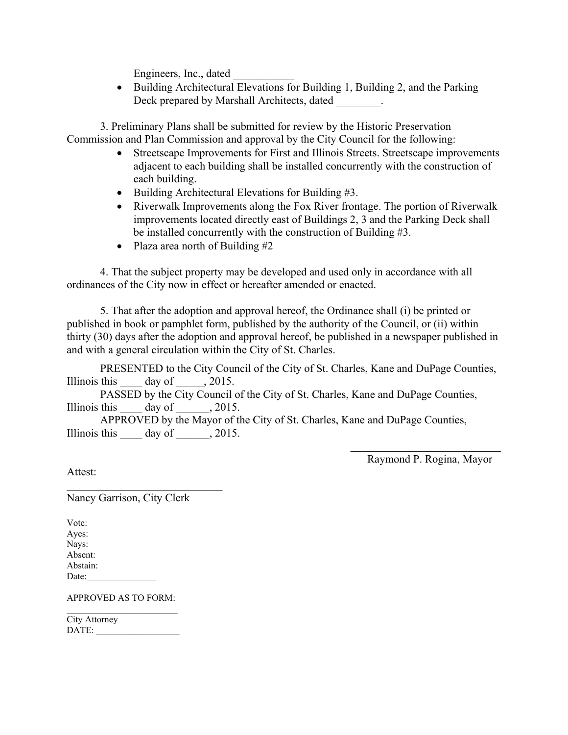Engineers, Inc., dated

 Building Architectural Elevations for Building 1, Building 2, and the Parking Deck prepared by Marshall Architects, dated

3. Preliminary Plans shall be submitted for review by the Historic Preservation Commission and Plan Commission and approval by the City Council for the following:

- Streetscape Improvements for First and Illinois Streets. Streetscape improvements adjacent to each building shall be installed concurrently with the construction of each building.
- $\bullet$  Building Architectural Elevations for Building #3.
- Riverwalk Improvements along the Fox River frontage. The portion of Riverwalk improvements located directly east of Buildings 2, 3 and the Parking Deck shall be installed concurrently with the construction of Building #3.
- Plaza area north of Building  $#2$

4. That the subject property may be developed and used only in accordance with all ordinances of the City now in effect or hereafter amended or enacted.

5. That after the adoption and approval hereof, the Ordinance shall (i) be printed or published in book or pamphlet form, published by the authority of the Council, or (ii) within thirty (30) days after the adoption and approval hereof, be published in a newspaper published in and with a general circulation within the City of St. Charles.

PRESENTED to the City Council of the City of St. Charles, Kane and DuPage Counties, Illinois this  $\qquad \qquad$  day of  $\qquad \qquad$ , 2015.

PASSED by the City Council of the City of St. Charles, Kane and DuPage Counties, Illinois this  $\qquad \qquad$  day of  $\qquad \qquad$ , 2015.

APPROVED by the Mayor of the City of St. Charles, Kane and DuPage Counties, Illinois this  $\qquad \text{day of} \qquad , 2015.$ 

> $\mathcal{L}_\text{max}$  , where  $\mathcal{L}_\text{max}$  and  $\mathcal{L}_\text{max}$ Raymond P. Rogina, Mayor

Attest:

Nancy Garrison, City Clerk

 $\mathcal{L}_\text{max}$  , where  $\mathcal{L}_\text{max}$  and  $\mathcal{L}_\text{max}$ 

Vote: Ayes: Nays: Absent: Abstain: Date:

APPROVED AS TO FORM:  $\mathcal{L}_\text{max}$  , where  $\mathcal{L}_\text{max}$  and  $\mathcal{L}_\text{max}$ 

City Attorney DATE: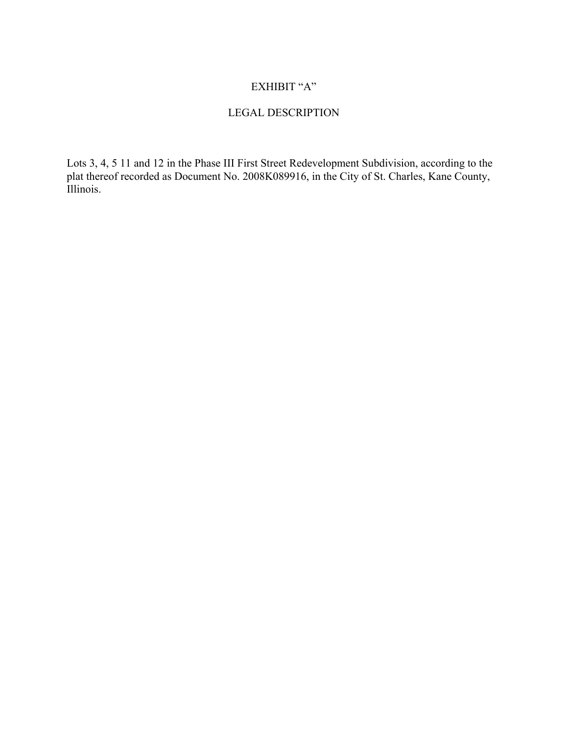# EXHIBIT "A"

# LEGAL DESCRIPTION

Lots 3, 4, 5 11 and 12 in the Phase III First Street Redevelopment Subdivision, according to the plat thereof recorded as Document No. 2008K089916, in the City of St. Charles, Kane County, Illinois.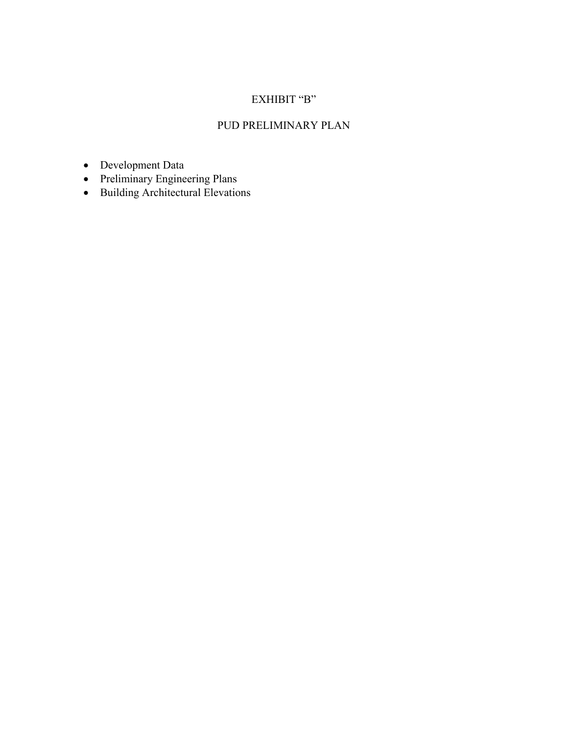# EXHIBIT "B"

# PUD PRELIMINARY PLAN

- Development Data
- Preliminary Engineering Plans
- Building Architectural Elevations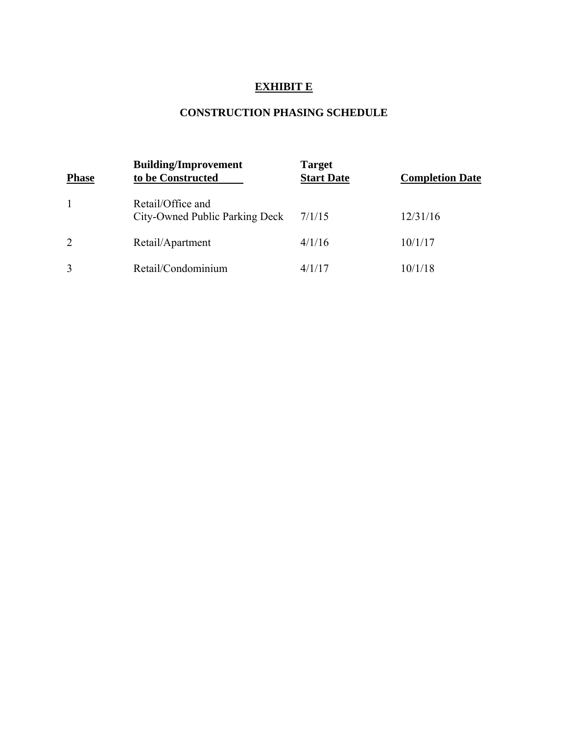# **EXHIBIT E**

# **CONSTRUCTION PHASING SCHEDULE**

| <b>Phase</b>   | <b>Building/Improvement</b><br>to be Constructed    | <b>Target</b><br><b>Start Date</b> | <b>Completion Date</b> |
|----------------|-----------------------------------------------------|------------------------------------|------------------------|
|                | Retail/Office and<br>City-Owned Public Parking Deck | 7/1/15                             | 12/31/16               |
| $\overline{2}$ | Retail/Apartment                                    | 4/1/16                             | 10/1/17                |
| 3              | Retail/Condominium                                  | 4/1/17                             | 10/1/18                |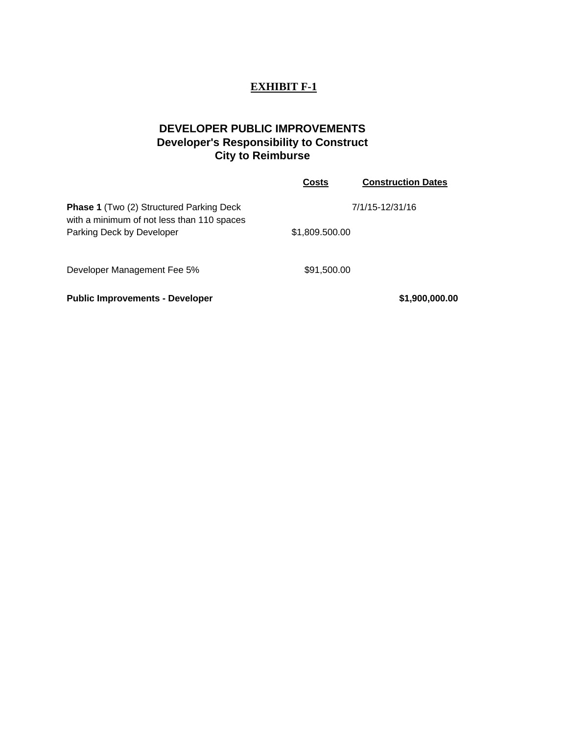# **EXHIBIT F-1**

# **DEVELOPER PUBLIC IMPROVEMENTS Developer's Responsibility to Construct City to Reimburse**

|                                                                                               | <b>Costs</b>   | <b>Construction Dates</b> |
|-----------------------------------------------------------------------------------------------|----------------|---------------------------|
| <b>Phase 1</b> (Two (2) Structured Parking Deck<br>with a minimum of not less than 110 spaces |                | 7/1/15-12/31/16           |
| Parking Deck by Developer                                                                     | \$1,809.500.00 |                           |
| Developer Management Fee 5%                                                                   | \$91,500.00    |                           |
| <b>Public Improvements - Developer</b>                                                        |                | \$1,900,000.00            |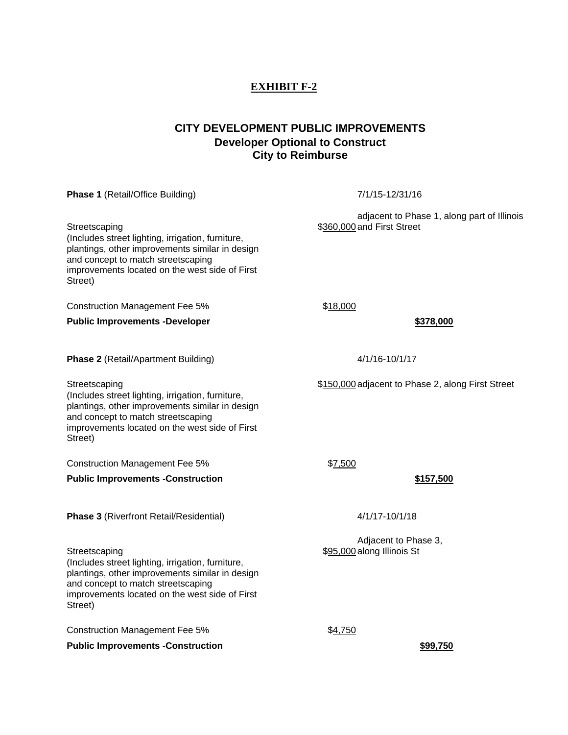# **EXHIBIT F-2**

# **CITY DEVELOPMENT PUBLIC IMPROVEMENTS Developer Optional to Construct City to Reimburse**

**Phase 1** (Retail/Office Building) 7/1/15-12/31/16

Streetscaping (Includes street lighting, irrigation, furniture, plantings, other improvements similar in design and concept to match streetscaping improvements located on the west side of First Street)

Construction Management Fee 5% \$18,000

**Public Improvements -Developer**  $\bullet$  **378,000**  $\bullet$  **378,000** 

**Phase 2** (Retail/Apartment Building) 4/1/16-10/1/17

(Includes street lighting, irrigation, furniture, plantings, other improvements similar in design and concept to match streetscaping improvements located on the west side of First Street)

Construction Management Fee 5%  $$7,500$ 

**Public Improvements -Construction**  $$157,500$ 

**Phase 3** (Riverfront Retail/Residential) 4/1/17-10/1/18

Streetscaping (Includes street lighting, irrigation, furniture, plantings, other improvements similar in design and concept to match streetscaping improvements located on the west side of First Street)

Construction Management Fee 5%  $$4,750$ 

**Public Improvements -Construction**  $$99,750$ 

adjacent to Phase 1, along part of Illinois \$360,000 and First Street

Streetscaping **\$150,000 adjacent to Phase 2, along First Street** 

Adjacent to Phase 3, \$95,000 along Illinois St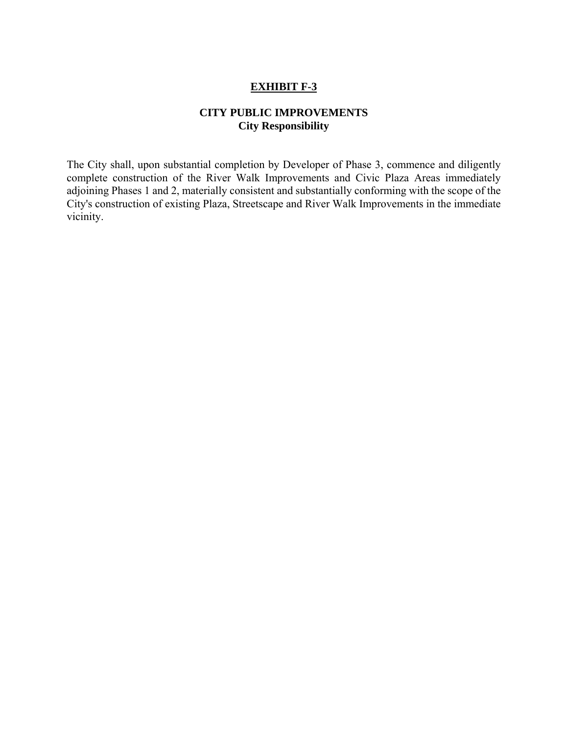## **EXHIBIT F-3**

# **CITY PUBLIC IMPROVEMENTS City Responsibility**

The City shall, upon substantial completion by Developer of Phase 3, commence and diligently complete construction of the River Walk Improvements and Civic Plaza Areas immediately adjoining Phases 1 and 2, materially consistent and substantially conforming with the scope of the City's construction of existing Plaza, Streetscape and River Walk Improvements in the immediate vicinity.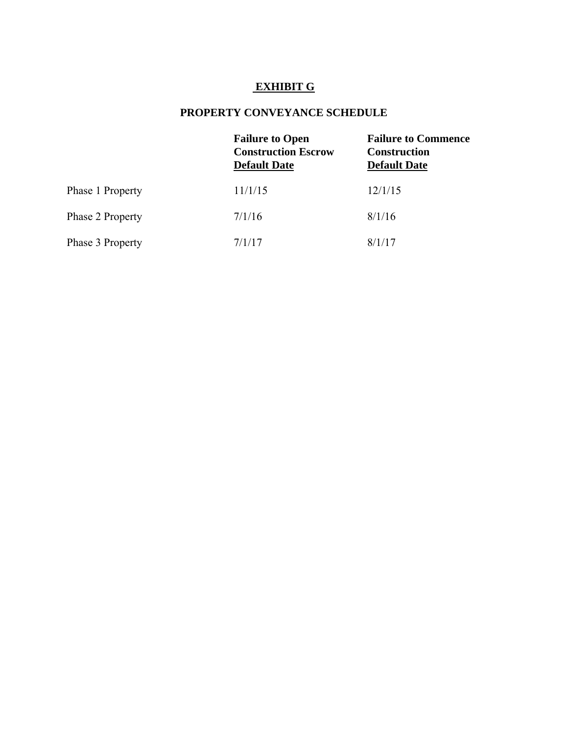# **EXHIBIT G**

# **PROPERTY CONVEYANCE SCHEDULE**

|                  | <b>Failure to Open</b><br><b>Construction Escrow</b><br><b>Default Date</b> | <b>Failure to Commence</b><br><b>Construction</b><br><b>Default Date</b> |
|------------------|-----------------------------------------------------------------------------|--------------------------------------------------------------------------|
| Phase 1 Property | 11/1/15                                                                     | 12/1/15                                                                  |
| Phase 2 Property | 7/1/16                                                                      | 8/1/16                                                                   |
| Phase 3 Property | 7/1/17                                                                      | 8/1/17                                                                   |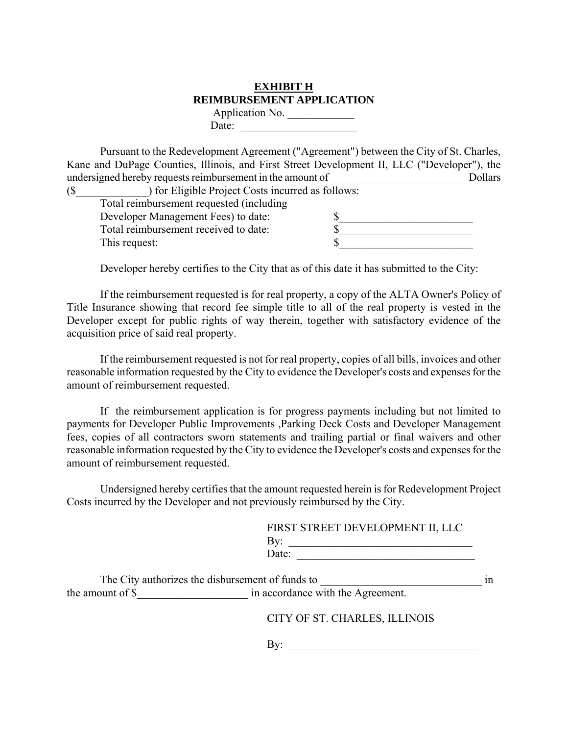# **EXHIBIT H REIMBURSEMENT APPLICATION**

Application No. Date:

 Pursuant to the Redevelopment Agreement ("Agreement") between the City of St. Charles, Kane and DuPage Counties, Illinois, and First Street Development II, LLC ("Developer"), the undersigned hereby requests reimbursement in the amount of \_\_\_\_\_\_\_\_\_\_\_\_\_\_\_\_\_\_\_\_\_\_\_\_\_ Dollars

| ) for Eligible Project Costs incurred as follows: |  |  |  |
|---------------------------------------------------|--|--|--|
| Total reimbursement requested (including          |  |  |  |
| Developer Management Fees) to date:               |  |  |  |
| Total reimbursement received to date:             |  |  |  |
| This request:                                     |  |  |  |
|                                                   |  |  |  |

Developer hereby certifies to the City that as of this date it has submitted to the City:

 If the reimbursement requested is for real property, a copy of the ALTA Owner's Policy of Title Insurance showing that record fee simple title to all of the real property is vested in the Developer except for public rights of way therein, together with satisfactory evidence of the acquisition price of said real property.

 If the reimbursement requested is not for real property, copies of all bills, invoices and other reasonable information requested by the City to evidence the Developer's costs and expenses for the amount of reimbursement requested.

 If the reimbursement application is for progress payments including but not limited to payments for Developer Public Improvements ,Parking Deck Costs and Developer Management fees, copies of all contractors sworn statements and trailing partial or final waivers and other reasonable information requested by the City to evidence the Developer's costs and expenses for the amount of reimbursement requested.

 Undersigned hereby certifies that the amount requested herein is for Redevelopment Project Costs incurred by the Developer and not previously reimbursed by the City.

|   | FIRST STREET DEVELOPMENT II, LLC |
|---|----------------------------------|
| ⊥ |                                  |
|   | $\int$ ate $\cdot$               |

|                  | The City authorizes the disbursement of funds to |  |
|------------------|--------------------------------------------------|--|
| the amount of \$ | in accordance with the Agreement.                |  |

CITY OF ST. CHARLES, ILLINOIS

 $\mathbf{B} \mathbf{v}$ :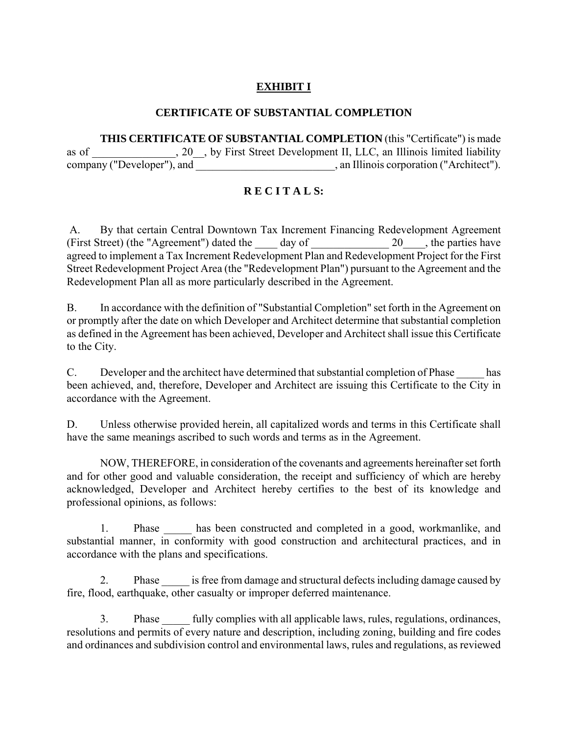# **EXHIBIT I**

## **CERTIFICATE OF SUBSTANTIAL COMPLETION**

 **THIS CERTIFICATE OF SUBSTANTIAL COMPLETION** (this "Certificate") is made as of  $\hspace{1cm}$ , 20  $\hspace{1cm}$ , by First Street Development II, LLC, an Illinois limited liability company ("Developer"), and  $\Box$ , an Illinois corporation ("Architect").

# **R E C I T A L S:**

 A. By that certain Central Downtown Tax Increment Financing Redevelopment Agreement (First Street) (the "Agreement") dated the  $\qquad \qquad$  day of  $\qquad \qquad$  20\_\_\_, the parties have agreed to implement a Tax Increment Redevelopment Plan and Redevelopment Project for the First Street Redevelopment Project Area (the "Redevelopment Plan") pursuant to the Agreement and the Redevelopment Plan all as more particularly described in the Agreement.

 B. In accordance with the definition of "Substantial Completion" set forth in the Agreement on or promptly after the date on which Developer and Architect determine that substantial completion as defined in the Agreement has been achieved, Developer and Architect shall issue this Certificate to the City.

C. Developer and the architect have determined that substantial completion of Phase has been achieved, and, therefore, Developer and Architect are issuing this Certificate to the City in accordance with the Agreement.

D. Unless otherwise provided herein, all capitalized words and terms in this Certificate shall have the same meanings ascribed to such words and terms as in the Agreement.

 NOW, THEREFORE, in consideration of the covenants and agreements hereinafter set forth and for other good and valuable consideration, the receipt and sufficiency of which are hereby acknowledged, Developer and Architect hereby certifies to the best of its knowledge and professional opinions, as follows:

1. Phase has been constructed and completed in a good, workmanlike, and substantial manner, in conformity with good construction and architectural practices, and in accordance with the plans and specifications.

2. Phase is free from damage and structural defects including damage caused by fire, flood, earthquake, other casualty or improper deferred maintenance.

3. Phase fully complies with all applicable laws, rules, regulations, ordinances, resolutions and permits of every nature and description, including zoning, building and fire codes and ordinances and subdivision control and environmental laws, rules and regulations, as reviewed